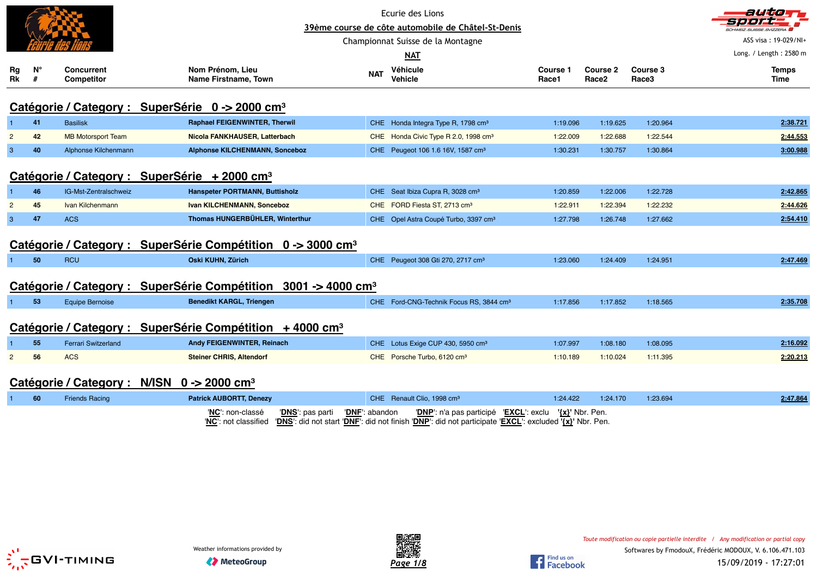|                |         |                                        |                                                                         | Ecurie des Lions<br>39ème course de côte automobile de Châtel-St-Denis<br>Championnat Suisse de la Montagne |                                                     |                   |                               |                   | auta<br>ASS visa: 19-029/NI+ |
|----------------|---------|----------------------------------------|-------------------------------------------------------------------------|-------------------------------------------------------------------------------------------------------------|-----------------------------------------------------|-------------------|-------------------------------|-------------------|------------------------------|
|                |         |                                        |                                                                         |                                                                                                             | <b>NAT</b>                                          |                   |                               |                   | Long. / Length: 2580 m       |
| Rg<br>Rk       | N°<br># | <b>Concurrent</b><br><b>Competitor</b> | Nom Prénom, Lieu<br>Name Firstname, Town                                | <b>NAT</b>                                                                                                  | Véhicule<br><b>Vehicle</b>                          | Course 1<br>Race1 | Course 2<br>Race <sub>2</sub> | Course 3<br>Race3 | <b>Temps</b><br>Time         |
|                |         |                                        | Catégorie / Category : SuperSérie 0 -> 2000 cm <sup>3</sup>             |                                                                                                             |                                                     |                   |                               |                   |                              |
|                | 41      | <b>Basilisk</b>                        | <b>Raphael FEIGENWINTER, Therwil</b>                                    |                                                                                                             | CHE Honda Integra Type R, 1798 cm <sup>3</sup>      | 1:19.096          | 1:19.625                      | 1:20.964          | 2:38.721                     |
| $\overline{2}$ | 42      | <b>MB Motorsport Team</b>              | Nicola FANKHAUSER, Latterbach                                           |                                                                                                             | CHE Honda Civic Type R 2.0, 1998 cm <sup>3</sup>    | 1:22.009          | 1:22.688                      | 1:22.544          | 2:44.553                     |
| 3              | 40      | Alphonse Kilchenmann                   | <b>Alphonse KILCHENMANN, Sonceboz</b>                                   |                                                                                                             | CHE Peugeot 106 1.6 16V, 1587 cm <sup>3</sup>       | 1:30.231          | 1:30.757                      | 1:30.864          | 3:00.988                     |
|                |         |                                        | Catégorie / Category : SuperSérie + 2000 cm <sup>3</sup>                |                                                                                                             |                                                     |                   |                               |                   |                              |
|                | 46      | IG-Mst-Zentralschweiz                  | Hanspeter PORTMANN, Buttisholz                                          |                                                                                                             | CHE Seat Ibiza Cupra R, 3028 cm <sup>3</sup>        | 1:20.859          | 1:22.006                      | 1:22.728          | 2:42.865                     |
| $\overline{2}$ | 45      | Ivan Kilchenmann                       | Ivan KILCHENMANN, Sonceboz                                              |                                                                                                             | CHE FORD Fiesta ST, 2713 cm <sup>3</sup>            | 1:22.911          | 1:22.394                      | 1:22.232          | 2:44.626                     |
| 3              | 47      | <b>ACS</b>                             | Thomas HUNGERBÜHLER, Winterthur                                         |                                                                                                             | CHE Opel Astra Coupé Turbo, 3397 cm <sup>3</sup>    | 1:27.798          | 1:26.748                      | 1:27.662          | 2:54.410                     |
|                |         |                                        | Catégorie / Category : SuperSérie Compétition 0 -> 3000 cm <sup>3</sup> |                                                                                                             |                                                     |                   |                               |                   |                              |
|                | 50      | <b>RCU</b>                             | Oski KUHN, Zürich                                                       |                                                                                                             | CHE Peugeot 308 Gti 270, 2717 cm <sup>3</sup>       | 1:23.060          | 1:24.409                      | 1:24.951          | 2:47.469                     |
|                |         | Catégorie / Category :                 | <b>SuperSérie Compétition</b><br>$3001 - 4000$ cm <sup>3</sup>          |                                                                                                             |                                                     |                   |                               |                   |                              |
|                | 53      | <b>Equipe Bernoise</b>                 | <b>Benedikt KARGL, Triengen</b>                                         |                                                                                                             | CHE Ford-CNG-Technik Focus RS, 3844 cm <sup>3</sup> | 1:17.856          | 1:17.852                      | 1:18.565          | 2:35.708                     |
|                |         | Catégorie / Category :                 | SuperSérie Compétition $+4000$ cm <sup>3</sup>                          |                                                                                                             |                                                     |                   |                               |                   |                              |
|                | 55      | <b>Ferrari Switzerland</b>             | Andy FEIGENWINTER, Reinach                                              |                                                                                                             | CHE Lotus Exige CUP 430, 5950 cm <sup>3</sup>       | 1:07.997          | 1:08.180                      | 1:08.095          | 2:16.092                     |
| $\overline{2}$ | 56      | <b>ACS</b>                             | <b>Steiner CHRIS, Altendorf</b>                                         |                                                                                                             | CHE Porsche Turbo, 6120 cm <sup>3</sup>             | 1:10.189          | 1:10.024                      | 1:11.395          | 2:20.213                     |
|                |         |                                        | Catégorie / Category : N/ISN 0 -> 2000 cm <sup>3</sup>                  |                                                                                                             |                                                     |                   |                               |                   |                              |

| 60 | <b>Friends Racing</b> | <b>Patrick AUBORTT, Denezy</b> | CHE Renault Clio. 1998 cm <sup>3</sup>                                                                                       | 1:24 422 | 1:24.170 | 1:23.694 | 2:47.864 |
|----|-----------------------|--------------------------------|------------------------------------------------------------------------------------------------------------------------------|----------|----------|----------|----------|
|    |                       | 'NC': non-classé               | 'NC': not classified  'DNS': did not start 'DNF': did not finish 'DNP': did not participate 'EXCL': excluded '{x}' Nbr. Pen. |          |          |          |          |



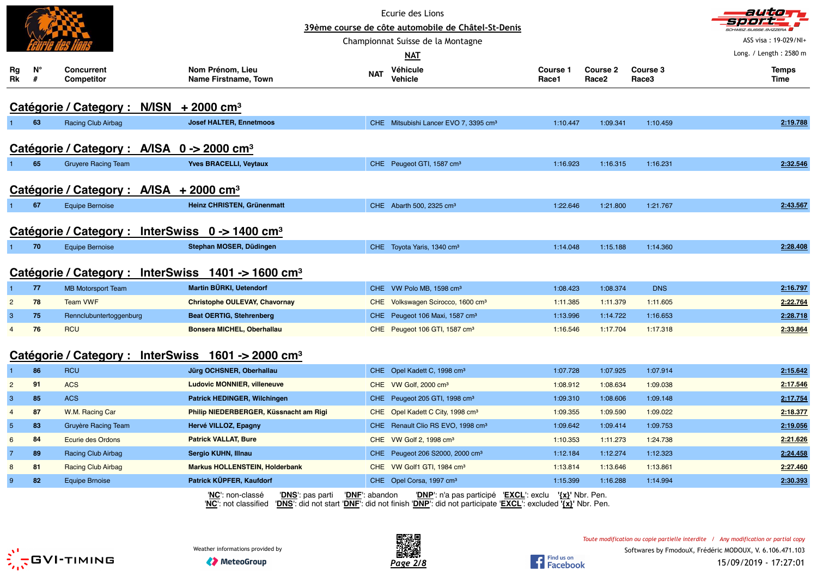|                |                  |                                                             |                                                                                                                                                                     |                | Ecurie des Lions                                       |                   |                          |                   | autom                  |
|----------------|------------------|-------------------------------------------------------------|---------------------------------------------------------------------------------------------------------------------------------------------------------------------|----------------|--------------------------------------------------------|-------------------|--------------------------|-------------------|------------------------|
|                |                  |                                                             |                                                                                                                                                                     |                | 39ème course de côte automobile de Châtel-St-Denis     |                   |                          |                   | ASS visa: 19-029/NI+   |
|                |                  |                                                             |                                                                                                                                                                     |                | Championnat Suisse de la Montagne                      |                   |                          |                   | Long. / Length: 2580 m |
|                |                  |                                                             |                                                                                                                                                                     |                | <u>NAT</u>                                             |                   |                          |                   |                        |
| Rg<br>Rk       | $N^{\circ}$<br># | <b>Concurrent</b><br><b>Competitor</b>                      | Nom Prénom, Lieu<br>Name Firstname, Town                                                                                                                            | <b>NAT</b>     | Véhicule<br><b>Vehicle</b>                             | Course 1<br>Race1 | <b>Course 2</b><br>Race2 | Course 3<br>Race3 | <b>Temps</b><br>Time   |
|                |                  | Catégorie / Category : N/ISN + 2000 cm <sup>3</sup>         |                                                                                                                                                                     |                |                                                        |                   |                          |                   |                        |
|                | 63               | Racing Club Airbag                                          | <b>Josef HALTER, Ennetmoos</b>                                                                                                                                      |                | CHE Mitsubishi Lancer EVO 7, 3395 cm <sup>3</sup>      | 1:10.447          | 1:09.341                 | 1:10.459          | 2:19.788               |
|                |                  | Catégorie / Category : A/ISA 0 -> 2000 cm <sup>3</sup>      |                                                                                                                                                                     |                |                                                        |                   |                          |                   |                        |
|                | 65               | <b>Gruyere Racing Team</b>                                  | <b>Yves BRACELLI, Veytaux</b>                                                                                                                                       |                | CHE Peugeot GTI, 1587 cm <sup>3</sup>                  | 1:16.923          | 1:16.315                 | 1:16.231          | 2:32.546               |
|                |                  | Catégorie / Category : A/ISA + 2000 cm <sup>3</sup>         |                                                                                                                                                                     |                |                                                        |                   |                          |                   |                        |
|                | 67               | <b>Equipe Bernoise</b>                                      | Heinz CHRISTEN, Grünenmatt                                                                                                                                          |                | CHE Abarth 500, 2325 cm <sup>3</sup>                   | 1:22.646          | 1:21.800                 | 1:21.767          | 2:43.567               |
|                |                  | Catégorie / Category : InterSwiss 0 -> 1400 cm <sup>3</sup> |                                                                                                                                                                     |                |                                                        |                   |                          |                   |                        |
|                | 70               | <b>Equipe Bernoise</b>                                      | Stephan MOSER, Düdingen                                                                                                                                             |                | CHE Toyota Yaris, 1340 cm <sup>3</sup>                 | 1:14.048          | 1:15.188                 | 1:14.360          | 2:28.408               |
|                |                  |                                                             | Catégorie / Category : InterSwiss 1401 -> 1600 cm <sup>3</sup>                                                                                                      |                |                                                        |                   |                          |                   |                        |
|                | 77               | <b>MB Motorsport Team</b>                                   | Martin BÜRKI, Uetendorf                                                                                                                                             |                | CHE VW Polo MB, 1598 cm <sup>3</sup>                   | 1:08.423          | 1:08.374                 | <b>DNS</b>        | 2:16.797               |
| $\overline{2}$ | 78               | <b>Team VWF</b>                                             | <b>Christophe OULEVAY, Chavornay</b>                                                                                                                                |                | CHE Volkswagen Scirocco, 1600 cm <sup>3</sup>          | 1:11.385          | 1:11.379                 | 1:11.605          | 2:22.764               |
| $\mathbf{3}$   | 75               | Rennclubuntertoggenburg                                     | <b>Beat OERTIG, Stehrenberg</b>                                                                                                                                     |                | CHE Peugeot 106 Maxi, 1587 cm <sup>3</sup>             | 1:13.996          | 1:14.722                 | 1:16.653          | 2:28.718               |
| $\overline{4}$ | 76               | <b>RCU</b>                                                  | Bonsera MICHEL, Oberhallau                                                                                                                                          |                | CHE Peugeot 106 GTI, 1587 cm <sup>3</sup>              | 1:16.546          | 1:17.704                 | 1:17.318          | 2:33.864               |
|                |                  |                                                             | Catégorie / Category : InterSwiss 1601 -> 2000 cm <sup>3</sup>                                                                                                      |                |                                                        |                   |                          |                   |                        |
|                | 86               | <b>RCU</b>                                                  | Jürg OCHSNER, Oberhallau                                                                                                                                            |                | CHE Opel Kadett C, 1998 cm <sup>3</sup>                | 1:07.728          | 1:07.925                 | 1:07.914          | 2:15.642               |
| $\overline{2}$ | 91               | <b>ACS</b>                                                  | <b>Ludovic MONNIER, villeneuve</b>                                                                                                                                  |                | CHE VW Golf, 2000 cm <sup>3</sup>                      | 1:08.912          | 1:08.634                 | 1:09.038          | 2:17.546               |
| $\mathbf{3}$   | 85               | <b>ACS</b>                                                  | Patrick HEDINGER, Wilchingen                                                                                                                                        |                | CHE Peugeot 205 GTI, 1998 cm <sup>3</sup>              | 1:09.310          | 1:08.606                 | 1:09.148          | 2:17.754               |
| $\overline{4}$ | 87               | W.M. Racing Car                                             | Philip NIEDERBERGER, Küssnacht am Rigi                                                                                                                              |                | CHE Opel Kadett C City, 1998 cm <sup>3</sup>           | 1:09.355          | 1:09.590                 | 1:09.022          | 2:18.377               |
| $\sqrt{5}$     | 83               | Gruyère Racing Team                                         | Hervé VILLOZ, Epagny                                                                                                                                                |                | CHE Renault Clio RS EVO, 1998 cm <sup>3</sup>          | 1:09.642          | 1:09.414                 | 1:09.753          | 2:19.056               |
| 6              | 84               | <b>Ecurie des Ordons</b>                                    | <b>Patrick VALLAT, Bure</b>                                                                                                                                         |                | CHE VW Golf 2, 1998 cm <sup>3</sup>                    | 1:10.353          | 1:11.273                 | 1:24.738          | 2:21.626               |
| $\overline{7}$ | 89               | Racing Club Airbag                                          | Sergio KUHN, Illnau                                                                                                                                                 |                | CHE Peugeot 206 S2000, 2000 cm <sup>3</sup>            | 1:12.184          | 1:12.274                 | 1:12.323          | 2:24.458               |
| 8              | 81               | <b>Racing Club Airbag</b>                                   | <b>Markus HOLLENSTEIN, Holderbank</b>                                                                                                                               |                | CHE VW Golf1 GTI, 1984 cm <sup>3</sup>                 | 1:13.814          | 1:13.646                 | 1:13.861          | 2:27.460               |
| 9              | 82               | <b>Equipe Brnoise</b>                                       | Patrick KÜPFER, Kaufdorf                                                                                                                                            |                | CHE Opel Corsa, 1997 cm <sup>3</sup>                   | 1:15.399          | 1:16.288                 | 1:14.994          | 2:30.393               |
|                |                  |                                                             | 'DNS': pas parti<br>'NC': non-classé<br>"NC": not classified "DNS": did not start "DNF": did not finish "DNP": did not participate 'EXCL": excluded '{x}' Nbr. Pen. | 'DNF': abandon | 'DNP': n'a pas participé 'EXCL': exclu '{x}' Nbr. Pen. |                   |                          |                   |                        |



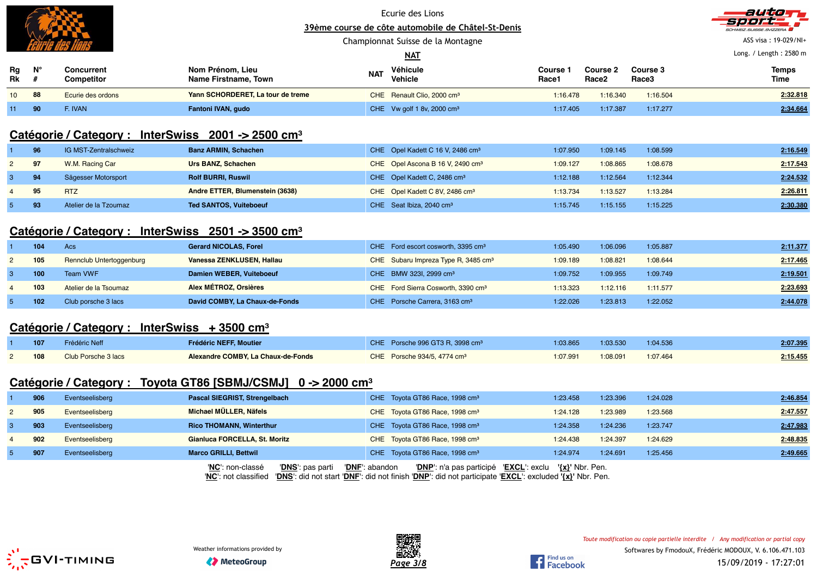

Championnat Suisse de la Montagne



ASS visa : 19-029/NI+

|                 |    |                          |                                          |            | <u>NAT</u>                             | Long. / Length: 2580 m |                                      |                   |                             |
|-----------------|----|--------------------------|------------------------------------------|------------|----------------------------------------|------------------------|--------------------------------------|-------------------|-----------------------------|
| Rg<br>Rk        | N' | Concurrent<br>Competitor | Nom Prénom, Lieu<br>Name Firstname, Town | <b>NAT</b> | Véhicule<br>Vehicle                    | Course<br>Race1        | <b>Course 2</b><br>Race <sub>2</sub> | Course 3<br>Race3 | <b>Temps</b><br><b>Time</b> |
| 10 <sup>1</sup> | 88 | Ecurie des ordons        | Yann SCHORDERET, La tour de treme        |            | CHE Renault Clio, 2000 cm <sup>3</sup> | 1:16.478               | 1:16.340                             | 1:16.504          | 2:32.818                    |
| 11              | 90 | : Ivan                   | Fantoni IVAN, gudo                       |            | CHE Vw golf 1 8v, 2000 cm <sup>3</sup> | 1:17.405               | 1:17.387                             | 1:17.277          | 2:34.664                    |

# **Catégorie / Category : InterSwiss 2001 -> 2500 cm<sup>³</sup>**

|             | 96  | IG MST-Zentralschweiz | <b>Banz ARMIN, Schachen</b>     | CHE Opel Kadett C 16 V, 2486 cm <sup>3</sup> | 1:07.950 | 1:09.145 | 1:08.599 | 2:16.549 |
|-------------|-----|-----------------------|---------------------------------|----------------------------------------------|----------|----------|----------|----------|
| $2^{\circ}$ | 97  | W.M. Racing Car       | Urs BANZ, Schachen              | CHE Opel Ascona B 16 V, 2490 cm <sup>3</sup> | 1:09.127 | 1:08.865 | 1:08.678 | 2:17.543 |
| 3           | 94  | Sägesser Motorsport   | <b>Rolf BURRI, Ruswil</b>       | CHE Opel Kadett C, 2486 cm <sup>3</sup>      | 1:12.188 | 1:12.564 | 1:12.344 | 2:24.532 |
|             | 9.5 | <b>RTZ</b>            | Andre ETTER, Blumenstein (3638) | CHE Opel Kadett C 8V, 2486 cm <sup>3</sup>   | 1:13.734 | 1:13.527 | 1:13.284 | 2:26.811 |
|             | 93  | Atelier de la Tzoumaz | <b>Ted SANTOS, Vuiteboeuf</b>   | CHE Seat Ibiza, 2040 cm <sup>3</sup>         | 1:15.745 | 1:15.155 | 1:15.225 | 2:30.380 |

# **Catégorie / Category : InterSwiss 2501 -> 3500 cm<sup>³</sup>**

|   | 104 | Acs                             | <b>Gerard NICOLAS, Forel</b>   | CHE Ford escort cosworth, 3395 cm <sup>3</sup>  | 1:05.490 | 1:06.096 | 1:05.887 | 2:11.377 |
|---|-----|---------------------------------|--------------------------------|-------------------------------------------------|----------|----------|----------|----------|
|   | 105 | <b>Rennclub Untertoggenburg</b> | Vanessa ZENKLUSEN, Hallau      | CHE Subaru Impreza Type R, 3485 cm <sup>3</sup> | 1:09.189 | 1:08.821 | 1:08.644 | 2:17.465 |
|   | 100 | Team VWF                        | Damien WEBER, Vuiteboeuf       | CHE BMW 323I, 2999 cm <sup>3</sup>              | 1:09.752 | 1:09.955 | 1:09.749 | 2:19.501 |
| 4 | 103 | Atelier de la Tsoumaz           | Alex MÉTROZ, Orsières          | CHE Ford Sierra Cosworth, 3390 cm <sup>3</sup>  | 1:13.323 | 1:12.116 | 1:11.577 | 2:23.693 |
|   | 102 | Club porsche 3 lacs             | David COMBY, La Chaux-de-Fonds | CHE Porsche Carrera, 3163 cm <sup>3</sup>       | 1:22.026 | 1:23.813 | 1:22.052 | 2:44.078 |

### **Catégorie / Category : InterSwiss + 3500 cm<sup>³</sup>**

| 107 | Frédéric Neff       | <b>Frédéric NEFF, Moutier</b>      | CHE Porsche 996 GT3 R. 3998 cm <sup>3</sup> | 1:03.865 | 1:03.530 | 1:04.536 | 2:07.395 |
|-----|---------------------|------------------------------------|---------------------------------------------|----------|----------|----------|----------|
| 108 | Club Porsche 3 lacs | Alexandre COMBY, La Chaux-de-Fonds | CHE Porsche 934/5, 4774 cm <sup>3</sup>     | 1:07.991 | 1:08.091 | 1:07.464 | 2:15.455 |

## **Catégorie / Category : Toyota GT86 [SBMJ/CSMJ] 0 -> 2000 cm<sup>³</sup>**

|              | 906 | Eventseelisberg | Pascal SIEGRIST, Strengelbach        | CHE Toyota GT86 Race, 1998 cm <sup>3</sup>               | 1:23.458        | 1:23.396 | 1:24.028 | 2:46.854 |
|--------------|-----|-----------------|--------------------------------------|----------------------------------------------------------|-----------------|----------|----------|----------|
| $\mathbf{2}$ | 905 | Eventseelisberg | Michael MÜLLER, Näfels               | CHE Toyota GT86 Race, 1998 cm <sup>3</sup>               | 1:24.128        | 1:23.989 | 1:23.568 | 2:47.557 |
|              | 903 | Eventseelisberg | <b>Rico THOMANN, Winterthur</b>      | CHE Toyota GT86 Race, 1998 cm <sup>3</sup>               | 1:24.358        | 1:24.236 | 1:23.747 | 2:47.983 |
|              | 902 | Eventseelisberg | Gianluca FORCELLA, St. Moritz        | CHE Toyota GT86 Race, 1998 cm <sup>3</sup>               | 1:24.438        | 1:24.397 | 1:24.629 | 2:48.835 |
|              | 907 | Eventseelisberg | <b>Marco GRILLI, Bettwil</b>         | CHE Toyota GT86 Race, 1998 cm <sup>3</sup>               | 1:24.974        | 1:24.691 | 1:25.456 | 2:49.665 |
|              |     |                 | 'DNS': pas parti<br>'NC': non-classé | 'DNP': n'a pas participé 'EXCL': exclu<br>'DNF': abandon | '{x}' Nbr. Pen. |          |          |          |

'**NC**': not classified '**DNS**': did not start '**DNF**': did not finish '**DNP**': did not participate '**EXCL**': excluded **'{x}'** Nbr. Pen.





Find us on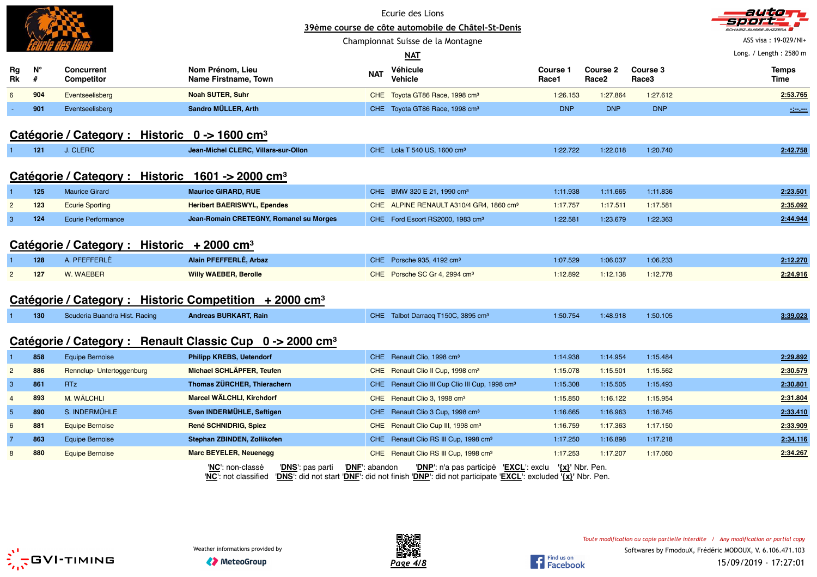|                 |                                                           |                                                              |                                                                      |                         | Ecurie des Lions                                                                                                                                                            |                   |                                      |                               | autom                           |  |  |  |  |
|-----------------|-----------------------------------------------------------|--------------------------------------------------------------|----------------------------------------------------------------------|-------------------------|-----------------------------------------------------------------------------------------------------------------------------------------------------------------------------|-------------------|--------------------------------------|-------------------------------|---------------------------------|--|--|--|--|
|                 |                                                           |                                                              |                                                                      |                         | 39ème course de côte automobile de Châtel-St-Denis                                                                                                                          |                   |                                      |                               |                                 |  |  |  |  |
|                 |                                                           |                                                              |                                                                      |                         | Championnat Suisse de la Montagne                                                                                                                                           |                   |                                      |                               | ASS visa: 19-029/NI+            |  |  |  |  |
|                 |                                                           |                                                              |                                                                      |                         | NAT                                                                                                                                                                         |                   |                                      |                               | Long. / Length: 2580 m          |  |  |  |  |
| Rg<br>Rk        | $N^{\circ}$<br>#                                          | <b>Concurrent</b><br>Competitor                              | Nom Prénom, Lieu<br>Name Firstname, Town                             | <b>NAT</b>              | Véhicule<br>Vehicle                                                                                                                                                         | Course 1<br>Race1 | <b>Course 2</b><br>Race <sub>2</sub> | Course 3<br>Race <sub>3</sub> | <b>Temps</b><br>Time            |  |  |  |  |
| 6               | 904                                                       | Eventseelisberg                                              | <b>Noah SUTER, Suhr</b>                                              |                         | CHE Toyota GT86 Race, 1998 cm <sup>3</sup>                                                                                                                                  | 1:26.153          | 1:27.864                             | 1:27.612                      | 2:53.765                        |  |  |  |  |
|                 | 901                                                       | Eventseelisberg                                              | Sandro MÜLLER, Arth                                                  |                         | CHE Toyota GT86 Race, 1998 cm <sup>3</sup>                                                                                                                                  | <b>DNP</b>        | <b>DNP</b>                           | <b>DNP</b>                    | $\frac{1}{2}$ and $\frac{1}{2}$ |  |  |  |  |
|                 | Catégorie / Category : Historic 0 -> 1600 cm <sup>3</sup> |                                                              |                                                                      |                         |                                                                                                                                                                             |                   |                                      |                               |                                 |  |  |  |  |
| 1               | 121                                                       | J. CLERC                                                     | Jean-Michel CLERC, Villars-sur-Ollon                                 |                         | CHE Lola T 540 US, 1600 cm <sup>3</sup>                                                                                                                                     | 1:22.722          | 1:22.018                             | 1:20.740                      | 2:42.758                        |  |  |  |  |
|                 |                                                           | Catégorie / Category : Historic 1601 -> 2000 cm <sup>3</sup> |                                                                      |                         |                                                                                                                                                                             |                   |                                      |                               |                                 |  |  |  |  |
|                 | 125                                                       | <b>Maurice Girard</b>                                        | <b>Maurice GIRARD, RUE</b>                                           |                         | CHE BMW 320 E 21, 1990 cm <sup>3</sup>                                                                                                                                      | 1:11.938          | 1:11.665                             | 1:11.836                      | 2:23.501                        |  |  |  |  |
| $\overline{2}$  | 123                                                       | <b>Ecurie Sporting</b>                                       | <b>Heribert BAERISWYL, Ependes</b>                                   |                         | CHE ALPINE RENAULT A310/4 GR4, 1860 cm <sup>3</sup>                                                                                                                         | 1:17.757          | 1:17.511                             | 1:17.581                      | 2:35.092                        |  |  |  |  |
| 3               | 124                                                       | <b>Ecurie Performance</b>                                    | Jean-Romain CRETEGNY, Romanel su Morges                              |                         | CHE Ford Escort RS2000, 1983 cm <sup>3</sup>                                                                                                                                | 1:22.581          | 1:23.679                             | 1:22.363                      | 2:44.944                        |  |  |  |  |
|                 |                                                           | Catégorie / Category : Historic + 2000 cm <sup>3</sup>       |                                                                      |                         |                                                                                                                                                                             |                   |                                      |                               |                                 |  |  |  |  |
|                 | 128                                                       | A. PFEFFERLÉ                                                 | Alain PFEFFERLÉ, Arbaz                                               |                         | CHE Porsche 935, 4192 cm <sup>3</sup>                                                                                                                                       | 1:07.529          | 1:06.037                             | 1:06.233                      | 2:12.270                        |  |  |  |  |
| $\overline{2}$  | 127                                                       | W. WAEBER                                                    | <b>Willy WAEBER, Berolle</b>                                         |                         | CHE Porsche SC Gr 4, 2994 cm <sup>3</sup>                                                                                                                                   | 1:12.892          | 1:12.138                             | 1:12.778                      | 2:24.916                        |  |  |  |  |
|                 |                                                           |                                                              | Catégorie / Category : Historic Competition + 2000 cm <sup>3</sup>   |                         |                                                                                                                                                                             |                   |                                      |                               |                                 |  |  |  |  |
| $\mathbf{1}$    | 130                                                       | Scuderia Buandra Hist. Racing                                | <b>Andreas BURKART, Rain</b>                                         |                         | CHE Talbot Darracq T150C, 3895 cm <sup>3</sup>                                                                                                                              | 1:50.754          | 1:48.918                             | 1:50.105                      | 3:39.023                        |  |  |  |  |
|                 |                                                           |                                                              | Catégorie / Category : Renault Classic Cup 0 -> 2000 cm <sup>3</sup> |                         |                                                                                                                                                                             |                   |                                      |                               |                                 |  |  |  |  |
| 1               | 858                                                       | <b>Equipe Bernoise</b>                                       | <b>Philipp KREBS, Uetendorf</b>                                      |                         | CHE Renault Clio, 1998 cm <sup>3</sup>                                                                                                                                      | 1:14.938          | 1:14.954                             | 1:15.484                      | 2:29.892                        |  |  |  |  |
| $\overline{2}$  | 886                                                       | Rennclup-Untertoggenburg                                     | Michael SCHLÄPFER, Teufen                                            |                         | CHE Renault Clio II Cup, 1998 cm <sup>3</sup>                                                                                                                               | 1:15.078          | 1:15.501                             | 1:15.562                      | 2:30.579                        |  |  |  |  |
| $\mathbf{3}$    | 861                                                       | <b>RTz</b>                                                   | Thomas ZÜRCHER, Thierachern                                          |                         | CHE Renault Clio III Cup Clio III Cup, 1998 cm <sup>3</sup>                                                                                                                 | 1:15.308          | 1:15.505                             | 1:15.493                      | 2:30.801                        |  |  |  |  |
| $\overline{4}$  | 893                                                       | M. WÄLCHLI                                                   | Marcel WÄLCHLI, Kirchdorf                                            |                         | CHE Renault Clio 3, 1998 cm <sup>3</sup>                                                                                                                                    | 1:15.850          | 1:16.122                             | 1:15.954                      | 2:31.804                        |  |  |  |  |
| $5\phantom{.0}$ | 890                                                       | S. INDERMÜHLE                                                | Sven INDERMÜHLE, Seftigen                                            |                         | CHE Renault Clio 3 Cup, 1998 cm <sup>3</sup>                                                                                                                                | 1:16.665          | 1:16.963                             | 1:16.745                      | 2:33.410                        |  |  |  |  |
| 6               | 881                                                       | <b>Equipe Bernoise</b>                                       | René SCHNIDRIG, Spiez                                                |                         | CHE Renault Clio Cup III, 1998 cm <sup>3</sup>                                                                                                                              | 1:16.759          | 1:17.363                             | 1:17.150                      | 2:33.909                        |  |  |  |  |
| $\overline{7}$  | 863                                                       | <b>Equipe Bernoise</b>                                       | Stephan ZBINDEN, Zollikofen                                          |                         | CHE Renault Clio RS III Cup, 1998 cm <sup>3</sup>                                                                                                                           | 1:17.250          | 1:16.898                             | 1:17.218                      | 2:34.116                        |  |  |  |  |
| 8               | 880                                                       | <b>Equipe Bernoise</b>                                       | <b>Marc BEYELER, Neuenegg</b>                                        |                         | CHE Renault Clio RS III Cup, 1998 cm <sup>3</sup>                                                                                                                           | 1:17.253          | 1:17.207                             | 1:17.060                      | 2:34.267                        |  |  |  |  |
|                 |                                                           |                                                              | 'NC': non-classé<br>'DNS': pas parti<br>'NC': not classified         | ' <b>DNF</b> ': abandon | ' <mark>EXCL</mark> ': exclu<br>' <b>DNP</b> ': n'a pas participé<br>'DNS': did not start 'DNF': did not finish 'DNP': did not participate 'EXCL': excluded '{x}' Nbr. Pen. | '{x}' Nbr. Pen.   |                                      |                               |                                 |  |  |  |  |



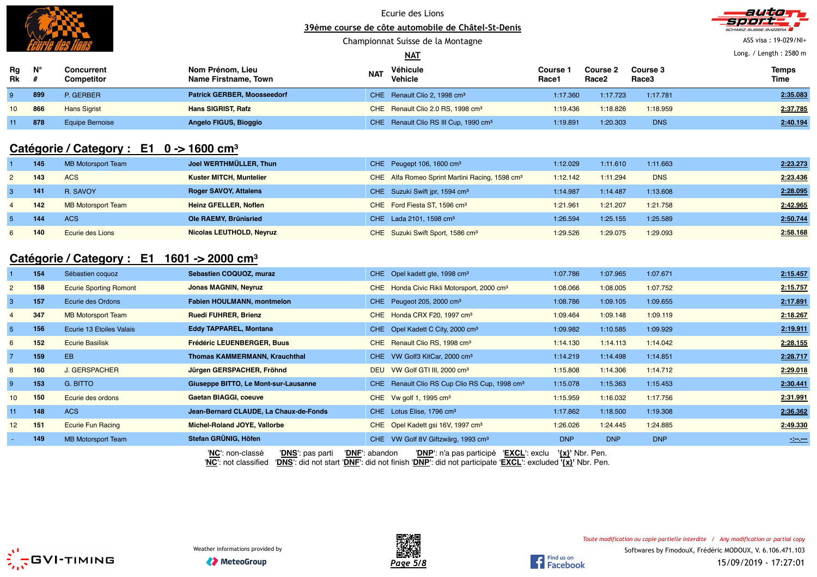

### Ecurie des Lions **39ème course de côte automobile de Châtel-St-Denis**

### Championnat Suisse de la Montagne

### **NAT**

autan

ASS visa : 19-029/NI+

Long. / Length : 2580 m

| Rg<br>Rk        | ы°  | Concurrent<br>Competitor | Nom Prénom, Lieu<br>Name Firstname, Town | <b>NAT</b> | Véhicule<br>Vehicle                               | Course<br>Race1 | <b>Course 2</b><br>Race2 | <b>Course 3</b><br>Race3 | <b>Temps</b><br>Time |
|-----------------|-----|--------------------------|------------------------------------------|------------|---------------------------------------------------|-----------------|--------------------------|--------------------------|----------------------|
|                 | 899 | P. GERBER                | <b>Patrick GERBER, Moosseedorf</b>       |            | CHE Renault Clio 2, 1998 cm <sup>3</sup>          | 1:17.360        | 1:17.723                 | 1:17.781                 | 2:35.083             |
| 10 <sup>1</sup> | 866 | <b>Hans Sigrist</b>      | <b>Hans SIGRIST, Rafz</b>                |            | CHE Renault Clio 2.0 RS, 1998 cm <sup>3</sup>     | 1:19.436        | 1:18.826                 | 1:18.959                 | 2:37.785             |
| 11              | 878 | Equipe Bernoise          | Angelo FIGUS, Bioggio                    |            | CHE Renault Clio RS III Cup, 1990 cm <sup>3</sup> | 1:19.891        | 1:20.303                 | <b>DNS</b>               | 2:40.194             |

## **Catégorie / Category : E1 0 -> 1600 cm<sup>³</sup>**

| 145 | <b>MB Motorsport Team</b> | Joel WERTHMÜLLER, Thun          | CHE Peugept 106, 1600 cm <sup>3</sup>                      | 1:12.029 | 1:11.610 | 1:11.663   | 2:23.273 |
|-----|---------------------------|---------------------------------|------------------------------------------------------------|----------|----------|------------|----------|
| 143 | <b>ACS</b>                | <b>Kuster MITCH, Muntelier</b>  | CHE Alfa Romeo Sprint Martini Racing, 1598 cm <sup>3</sup> | 1:12.142 | 1:11.294 | <b>DNS</b> | 2:23.436 |
| 141 | R. SAVOY                  | <b>Roger SAVOY, Attalens</b>    | CHE Suzuki Swift jpr, 1594 cm <sup>3</sup>                 | 1:14.987 | 1:14.487 | 1:13.608   | 2:28.095 |
| 142 | <b>MB Motorsport Team</b> | <b>Heinz GFELLER, Noflen</b>    | CHE Ford Fiesta ST, 1596 cm <sup>3</sup>                   | 1:21.961 | 1:21.207 | 1:21.758   | 2:42.965 |
| 144 | <b>ACS</b>                | Ole RAEMY, Brünisried           | CHE Lada 2101, 1598 cm <sup>3</sup>                        | 1:26.594 | 1:25.155 | 1:25.589   | 2:50.744 |
| 140 | <b>Ecurie des Lions</b>   | <b>Nicolas LEUTHOLD, Neyruz</b> | CHE Suzuki Swift Sport, 1586 cm <sup>3</sup>               | 1:29.526 | 1:29.075 | 1:29.093   | 2:58.168 |

# **Catégorie / Category : E1 1601 -> 2000 cm<sup>³</sup>**

|                 | 154 | Sébastien coquoz              | Sebastien COQUOZ, muraz                | CHE Opel kadett gte, 1998 cm <sup>3</sup>      |                                                           | 1:07.786            | 1:07.965   | 1:07.671   | 2:15.457                        |
|-----------------|-----|-------------------------------|----------------------------------------|------------------------------------------------|-----------------------------------------------------------|---------------------|------------|------------|---------------------------------|
| $\overline{2}$  | 158 | <b>Ecurie Sporting Romont</b> | <b>Jonas MAGNIN, Neyruz</b>            |                                                | CHE Honda Civic Rikli Motorsport, 2000 cm <sup>3</sup>    | 1:08.066            | 1:08.005   | 1:07.752   | 2:15.757                        |
| 3               | 157 | Ecurie des Ordons             | <b>Fabien HOULMANN, montmelon</b>      | CHE Peugeot 205, 2000 cm <sup>3</sup>          |                                                           | 1:08.786            | 1:09.105   | 1:09.655   | 2:17.891                        |
| 4               | 347 | <b>MB Motorsport Team</b>     | <b>Ruedi FUHRER, Brienz</b>            | CHE Honda CRX F20, 1997 cm <sup>3</sup>        |                                                           | 1:09.464            | 1:09.148   | 1:09.119   | 2:18.267                        |
| 5 <sub>1</sub>  | 156 | Ecurie 13 Etoiles Valais      | <b>Eddy TAPPAREL, Montana</b>          | CHE Opel Kadett C City, 2000 cm <sup>3</sup>   |                                                           | 1:09.982            | 1:10.585   | 1:09.929   | 2:19.911                        |
| $6\overline{6}$ | 152 | <b>Ecurie Basilisk</b>        | <b>Frédéric LEUENBERGER, Buus</b>      | CHE Renault Clio RS, 1998 cm <sup>3</sup>      |                                                           | 1:14.130            | 1:14.113   | 1:14.042   | 2:28.155                        |
|                 | 159 | EB.                           | <b>Thomas KAMMERMANN, Krauchthal</b>   | CHE VW Golf3 KitCar, 2000 cm <sup>3</sup>      |                                                           | 1:14.219            | 1:14.498   | 1:14.851   | 2:28.717                        |
| 8               | 160 | <b>J. GERSPACHER</b>          | Jürgen GERSPACHER, Fröhnd              | DEU VW Golf GTI III, 2000 cm <sup>3</sup>      |                                                           | 1:15.808            | 1:14.306   | 1:14.712   | 2:29.018                        |
| 9               | 153 | G. BITTO                      | Giuseppe BITTO, Le Mont-sur-Lausanne   |                                                | CHE Renault Clio RS Cup Clio RS Cup, 1998 cm <sup>3</sup> | 1:15.078            | 1:15.363   | 1:15.453   | 2:30.441                        |
| 10 <sup>1</sup> | 150 | Ecurie des ordons             | Gaetan BIAGGI, coeuve                  | CHE Vw golf 1, 1995 $cm3$                      |                                                           | 1:15.959            | 1:16.032   | 1:17.756   | 2:31.991                        |
| 11              | 148 | <b>ACS</b>                    | Jean-Bernard CLAUDE, La Chaux-de-Fonds | CHE Lotus Elise, 1796 cm <sup>3</sup>          |                                                           | 1:17.862            | 1:18.500   | 1:19.308   | 2:36.362                        |
| 12 <sup>2</sup> | 151 | <b>Ecurie Fun Racing</b>      | Michel-Roland JOYE, Vallorbe           | CHE Opel Kadett gsi 16V, 1997 cm <sup>3</sup>  |                                                           | 1:26.026            | 1:24.445   | 1:24.885   | 2:49.330                        |
| ۰.              | 149 | <b>MB Motorsport Team</b>     | Stefan GRÜNIG, Höfen                   | CHE VW Golf 8V Giftzwärg, 1993 cm <sup>3</sup> |                                                           | <b>DNP</b>          | <b>DNP</b> | <b>DNP</b> | $\frac{1}{2}$ and $\frac{1}{2}$ |
|                 |     |                               | 'NC': non-classé<br>'DNS': pas parti   | 'DNF': abandon                                 | 'DNP': n'a pas participé 'EXCL': exclu                    | $\{x\}$ ' Nbr. Pen. |            |            |                                 |

'**NC**': not classified '**DNS**': did not start '**DNF**': did not finish '**DNP**': did not participate '**EXCL**': excluded **'{x}'** Nbr. Pen.





Find us on **Find us on**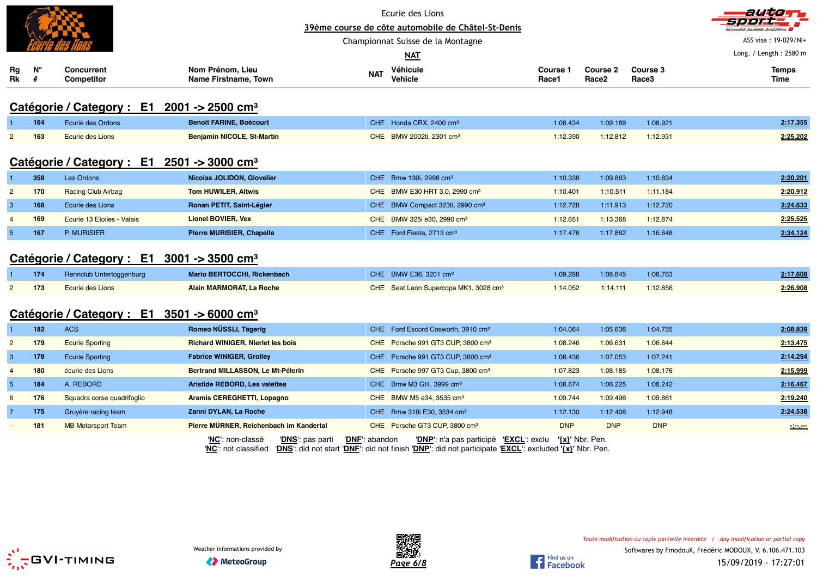|                 |                  |                                                                                    |                                          |                                             | Ecurie des Lions<br>39ème course de côte automobile de Châtel-St-Denis<br>Championnat Suisse de la Montagne<br><b>NAT</b>                                                      |                   |                                      |                   | autom<br>-7 <i>21212</i><br>ASS visa: 19-029/NI+<br>Long. / Length: 2580 m |
|-----------------|------------------|------------------------------------------------------------------------------------|------------------------------------------|---------------------------------------------|--------------------------------------------------------------------------------------------------------------------------------------------------------------------------------|-------------------|--------------------------------------|-------------------|----------------------------------------------------------------------------|
| Rg<br>Rk        | $N^{\circ}$<br># | <b>Concurrent</b><br>Competitor                                                    | Nom Prénom, Lieu<br>Name Firstname, Town | <b>NAT</b>                                  | Véhicule<br>Vehicle                                                                                                                                                            | Course 1<br>Race1 | <b>Course 2</b><br>Race <sub>2</sub> | Course 3<br>Race3 | <b>Temps</b><br>Time                                                       |
|                 |                  | Catégorie / Category : $E1$ 2001 -> 2500 cm <sup>3</sup>                           |                                          |                                             |                                                                                                                                                                                |                   |                                      |                   |                                                                            |
|                 | 164              | Ecurie des Ordons                                                                  | <b>Benoit FARINE, Boécourt</b>           |                                             | CHE Honda CRX, 2400 cm <sup>3</sup>                                                                                                                                            | 1:08.434          | 1:09.189                             | 1:08.921          | 2:17.355                                                                   |
| $\overline{2}$  | 163              | Ecurie des Lions                                                                   | <b>Benjamin NICOLE, St-Martin</b>        |                                             | CHE BMW 2002ti, 2301 cm <sup>3</sup>                                                                                                                                           | 1:12.390          | 1:12.812                             | 1:12.931          | 2:25.202                                                                   |
|                 | 358              | Catégorie / Category : $E1 \quad 2501 \rightarrow 3000 \text{ cm}^3$<br>Les Ordons | Nicolas JOLIDON, Glovelier               |                                             | CHE Bmw 130i, 2998 cm <sup>3</sup>                                                                                                                                             | 1:10.338          | 1:09.863                             | 1:10.834          | 2:20.201                                                                   |
| $\overline{2}$  | 170              | <b>Racing Club Airbag</b>                                                          | <b>Tom HUWILER, Altwis</b>               |                                             | CHE BMW E30 HRT 3.0, 2990 cm <sup>3</sup>                                                                                                                                      | 1:10.401          | 1:10.511                             | 1:11.184          | 2:20.912                                                                   |
| 3               | 168              | Ecurie des Lions                                                                   | Ronan PETIT, Saint-Légier                |                                             | CHE BMW Compact 323ti, 2990 cm <sup>3</sup>                                                                                                                                    | 1:12.728          | 1:11.913                             | 1:12.720          | 2:24.633                                                                   |
| $\overline{4}$  | 169              | Ecurie 13 Etoiles - Valais                                                         | <b>Lionel BOVIER, Vex</b>                |                                             | CHE BMW 325i e30, 2990 cm <sup>3</sup>                                                                                                                                         | 1:12.651          | 1:13.368                             | 1:12.874          | 2:25.525                                                                   |
| $5\phantom{1}$  | 167              | P. MURISIER                                                                        | <b>Pierre MURISIER, Chapelle</b>         |                                             | CHE Ford Fiesta, 2713 cm <sup>3</sup>                                                                                                                                          | 1:17.476          | 1:17.862                             | 1:16.648          | 2:34.124                                                                   |
|                 |                  | Catégorie / Category : $E1 \quad 3001 \rightarrow 3500 \text{ cm}^3$               |                                          |                                             |                                                                                                                                                                                |                   |                                      |                   |                                                                            |
|                 | 174              | Rennclub Untertoggenburg                                                           | Mario BERTOCCHI, Rickenbach              |                                             | CHE BMW E36, 3201 cm <sup>3</sup>                                                                                                                                              | 1:09.288          | 1:08.845                             | 1:08.763          | 2:17.608                                                                   |
| $\overline{2}$  | 173              | Ecurie des Lions                                                                   | Alain MARMORAT, La Roche                 |                                             | CHE Seat Leon Supercopa MK1, 3028 cm <sup>3</sup>                                                                                                                              | 1:14.052          | 1:14.111                             | 1:12.856          | 2:26.908                                                                   |
|                 |                  | Catégorie / Category : E1 3501 -> 6000 cm <sup>3</sup>                             |                                          |                                             |                                                                                                                                                                                |                   |                                      |                   |                                                                            |
|                 | 182              | <b>ACS</b>                                                                         | Romeo NÜSSLI, Tägerig                    |                                             | CHE Ford Escord Cosworth, 3910 cm <sup>3</sup>                                                                                                                                 | 1:04.084          | 1:05.638                             | 1:04.755          | 2:08.839                                                                   |
| $\overline{2}$  | 179              | <b>Ecurie Sporting</b>                                                             | <b>Richard WINIGER, Nierlet les bois</b> |                                             | CHE Porsche 991 GT3 CUP, 3800 cm <sup>3</sup>                                                                                                                                  | 1:08.246          | 1:06.631                             | 1:06.844          | 2:13.475                                                                   |
| 3               | 178              | <b>Ecurie Sporting</b>                                                             | <b>Fabrice WINIGER, Grolley</b>          |                                             | CHE Porsche 991 GT3 CUP, 3800 cm <sup>3</sup>                                                                                                                                  | 1:08.436          | 1:07.053                             | 1:07.241          | 2:14.294                                                                   |
| $\overline{4}$  | 180              | écurie des Lions                                                                   | Bertrand MILLASSON, Le Mt-Pélerin        |                                             | CHE Porsche 997 GT3 Cup, 3800 cm <sup>3</sup>                                                                                                                                  | 1:07.823          | 1:08.185                             | 1:08.176          | 2:15.999                                                                   |
| $5\phantom{.0}$ | 184              | A. REBORD                                                                          | <b>Aristide REBORD, Les valettes</b>     |                                             | CHE Bmw M3 Gt4, 3999 cm <sup>3</sup>                                                                                                                                           | 1:08.874          | 1:08.225                             | 1:08.242          | 2:16.467                                                                   |
| 6               | 176              | Squadra corse quadrifoglio                                                         | Aramis CEREGHETTI, Lopagno               |                                             | CHE BMW M5 e34, 3535 cm <sup>3</sup>                                                                                                                                           | 1:09.744          | 1:09.496                             | 1:09.861          | 2:19.240                                                                   |
| 7               | 175              | Gruyère racing team                                                                | Zanni DYLAN, La Roche                    |                                             | CHE Bmw 318i E30, 3534 cm <sup>3</sup>                                                                                                                                         | 1:12.130          | 1:12.408                             | 1:12.948          | 2:24.538                                                                   |
|                 | 181              | <b>MB Motorsport Team</b>                                                          | Pierre MÜRNER, Reichenbach im Kandertal  |                                             | CHE Porsche GT3 CUP, 3800 cm <sup>3</sup>                                                                                                                                      | <b>DNP</b>        | <b>DNP</b>                           | <b>DNP</b>        | $\sim$                                                                     |
|                 |                  |                                                                                    | 'NC': non-classé                         | 'DNF': abandon<br>' <b>DNS</b> ': pas parti | ' <b>DNP</b> ': n'a pas participé 'EXCL': exclu<br>'NC': not classified 'DNS': did not start 'DNF': did not finish 'DNP': did not participate 'EXCL': excluded '{x}' Nbr. Pen. |                   | '{x}' Nbr. Pen.                      |                   |                                                                            |



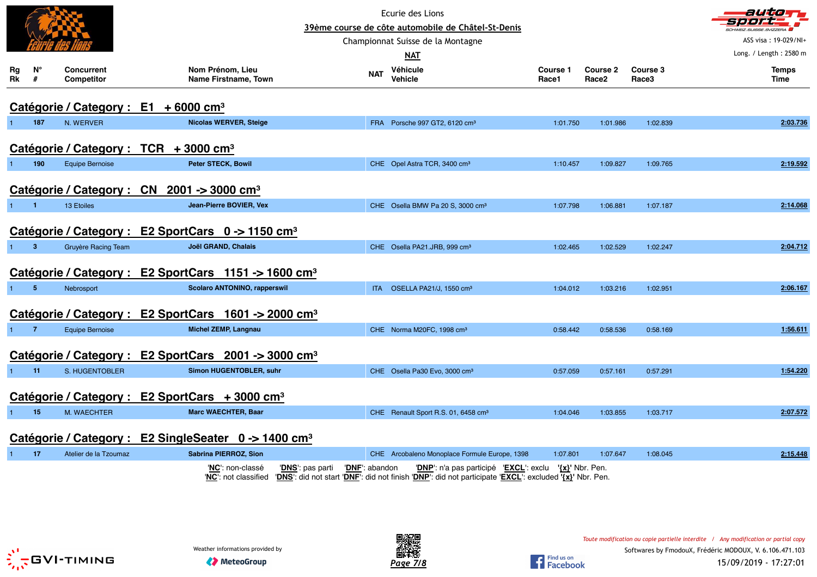|                      |                |                          |                                                               |                                                                  |                                    | Ecurie des Lions<br>39ème course de côte automobile de Châtel-St-Denis                                                                                           |                   |                                      |                   | autom                                             |
|----------------------|----------------|--------------------------|---------------------------------------------------------------|------------------------------------------------------------------|------------------------------------|------------------------------------------------------------------------------------------------------------------------------------------------------------------|-------------------|--------------------------------------|-------------------|---------------------------------------------------|
|                      |                |                          |                                                               |                                                                  |                                    | Championnat Suisse de la Montagne                                                                                                                                |                   |                                      |                   | SCHWEIZ, SUISSE, SVIZZERA<br>ASS visa: 19-029/NI+ |
|                      |                |                          |                                                               |                                                                  |                                    | <b>NAT</b>                                                                                                                                                       |                   |                                      |                   | Long. / Length: 2580 m                            |
| Rg<br>Rk             | N°<br>#        | Concurrent<br>Competitor |                                                               | Nom Prénom, Lieu<br>Name Firstname, Town                         | <b>NAT</b>                         | Véhicule<br>Vehicle                                                                                                                                              | Course 1<br>Race1 | <b>Course 2</b><br>Race <sub>2</sub> | Course 3<br>Race3 | <b>Temps</b><br>Time                              |
|                      |                |                          | Catégorie / Category : E1 + 6000 cm <sup>3</sup>              |                                                                  |                                    |                                                                                                                                                                  |                   |                                      |                   |                                                   |
|                      | 187            | N. WERVER                |                                                               | <b>Nicolas WERVER, Steige</b>                                    |                                    | FRA Porsche 997 GT2, 6120 cm <sup>3</sup>                                                                                                                        | 1:01.750          | 1:01.986                             | 1:02.839          | 2:03.736                                          |
|                      |                |                          | Catégorie / Category : TCR + 3000 cm <sup>3</sup>             |                                                                  |                                    |                                                                                                                                                                  |                   |                                      |                   |                                                   |
| $\blacktriangleleft$ | 190            | <b>Equipe Bernoise</b>   |                                                               | Peter STECK, Bowil                                               |                                    | CHE Opel Astra TCR, 3400 cm <sup>3</sup>                                                                                                                         | 1:10.457          | 1:09.827                             | 1:09.765          | 2:19.592                                          |
|                      |                |                          | Catégorie / Category : CN 2001 -> 3000 cm <sup>3</sup>        |                                                                  |                                    |                                                                                                                                                                  |                   |                                      |                   |                                                   |
| $\mathbf{1}$         | $\blacksquare$ | 13 Etoiles               |                                                               | Jean-Pierre BOVIER, Vex                                          |                                    | CHE Osella BMW Pa 20 S, 3000 cm <sup>3</sup>                                                                                                                     | 1:07.798          | 1:06.881                             | 1:07.187          | 2:14.068                                          |
|                      |                |                          | Catégorie / Category : E2 SportCars 0 -> 1150 cm <sup>3</sup> |                                                                  |                                    |                                                                                                                                                                  |                   |                                      |                   |                                                   |
| 1                    | 3              | Gruyère Racing Team      |                                                               | Joël GRAND, Chalais                                              |                                    | CHE Osella PA21.JRB, 999 cm <sup>3</sup>                                                                                                                         | 1:02.465          | 1:02.529                             | 1:02.247          | 2:04.712                                          |
|                      |                |                          |                                                               | Catégorie / Category : E2 SportCars 1151 -> 1600 cm <sup>3</sup> |                                    |                                                                                                                                                                  |                   |                                      |                   |                                                   |
|                      | $\overline{5}$ | Nebrosport               |                                                               | Scolaro ANTONINO, rapperswil                                     | <b>ITA</b>                         | OSELLA PA21/J, 1550 cm <sup>3</sup>                                                                                                                              | 1:04.012          | 1:03.216                             | 1:02.951          | 2:06.167                                          |
|                      |                |                          |                                                               | Catégorie / Category : E2 SportCars 1601 -> 2000 cm <sup>3</sup> |                                    |                                                                                                                                                                  |                   |                                      |                   |                                                   |
| 1.                   | $\overline{7}$ | <b>Equipe Bernoise</b>   |                                                               | Michel ZEMP, Langnau                                             |                                    | CHE Norma M20FC, 1998 cm <sup>3</sup>                                                                                                                            | 0:58.442          | 0:58.536                             | 0:58.169          | 1:56.611                                          |
|                      |                |                          |                                                               | Catégorie / Category : E2 SportCars 2001 -> 3000 cm <sup>3</sup> |                                    |                                                                                                                                                                  |                   |                                      |                   |                                                   |
| $\mathbf{1}$         | 11             | S. HUGENTOBLER           |                                                               | Simon HUGENTOBLER, suhr                                          |                                    | CHE Osella Pa30 Evo, 3000 cm <sup>3</sup>                                                                                                                        | 0:57.059          | 0:57.161                             | 0:57.291          | 1:54.220                                          |
|                      |                |                          | Catégorie / Category : E2 SportCars + 3000 cm <sup>3</sup>    |                                                                  |                                    |                                                                                                                                                                  |                   |                                      |                   |                                                   |
|                      | 15             | M. WAECHTER              |                                                               | <b>Marc WAECHTER, Baar</b>                                       |                                    | CHE Renault Sport R.S. 01, 6458 cm <sup>3</sup>                                                                                                                  | 1:04.046          | 1:03.855                             | 1:03.717          | 2:07.572                                          |
|                      |                |                          |                                                               | Catégorie / Category : E2 SingleSeater 0 -> 1400 cm <sup>3</sup> |                                    |                                                                                                                                                                  |                   |                                      |                   |                                                   |
| 1                    | 17             | Atelier de la Tzoumaz    |                                                               | Sabrina PIERROZ, Sion                                            |                                    | CHE Arcobaleno Monoplace Formule Europe, 1398                                                                                                                    | 1:07.801          | 1:07.647                             | 1:08.045          | 2:15.448                                          |
|                      |                |                          |                                                               | 'NC': non-classé<br>'NC': not classified                         | 'DNF': abandon<br>'DNS': pas parti | 'DNP': n'a pas participé 'EXCL': exclu '{x}' Nbr. Pen.<br>'DNS': did not start 'DNF': did not finish 'DNP': did not participate 'EXCL': excluded '{x}' Nbr. Pen. |                   |                                      |                   |                                                   |



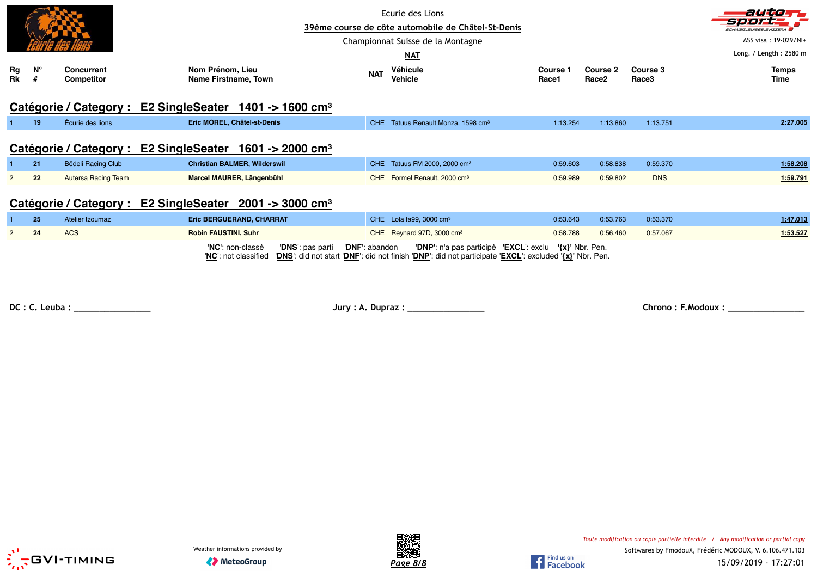|               |             |                                        |                                                   |            | Ecurie des Lions<br>39ème course de côte automobile de Châtel-St-Denis<br>Championnat Suisse de la Montagne<br><b>NAT</b> |                          |                               |                   | autom<br><b>CHWEIZ.SUISSE.SVIZZERA</b><br>ASS visa: 19-029/NI+<br>Long. / Length: 2580 m |
|---------------|-------------|----------------------------------------|---------------------------------------------------|------------|---------------------------------------------------------------------------------------------------------------------------|--------------------------|-------------------------------|-------------------|------------------------------------------------------------------------------------------|
| Rg<br>Rk      | $N^{\circ}$ | <b>Concurrent</b><br><b>Competitor</b> | Nom Prénom, Lieu<br>Name Firstname, Town          | <b>NAT</b> | Véhicule<br><b>Vehicle</b>                                                                                                | <b>Course 1</b><br>Race1 | Course 2<br>Race <sub>2</sub> | Course 3<br>Race3 | <b>Temps</b><br>Time                                                                     |
|               |             | Catégorie / Category:                  | E2 Single Seater $1401 \div 1600$ cm <sup>3</sup> |            |                                                                                                                           |                          |                               |                   |                                                                                          |
|               | 19          | Écurie des lions                       | Eric MOREL, Châtel-st-Denis                       | <b>CHE</b> | Tatuus Renault Monza, 1598 cm <sup>3</sup>                                                                                | 1:13.254                 | 1:13.860                      | 1:13.751          | 2:27.005                                                                                 |
|               |             | Catégorie / Category :                 | E2 Single Seater $1601 \div 2000$ cm <sup>3</sup> |            |                                                                                                                           |                          |                               |                   |                                                                                          |
|               | 21          | <b>Bödeli Racing Club</b>              | <b>Christian BALMER, Wilderswil</b>               | CHE.       | Tatuus FM 2000, 2000 cm <sup>3</sup>                                                                                      | 0:59.603                 | 0:58.838                      | 0:59.370          | 1:58.208                                                                                 |
| $\mathcal{P}$ | 22          | <b>Autersa Racing Team</b>             | Marcel MAURER, Längenbühl                         |            | CHE Formel Renault, 2000 cm <sup>3</sup>                                                                                  | 0:59.989                 | 0:59.802                      | <b>DNS</b>        | 1:59.791                                                                                 |
|               |             | Catégorie / Category :                 | E2 Single Seater $2001 \div 3000$ cm <sup>3</sup> |            |                                                                                                                           |                          |                               |                   |                                                                                          |
|               | 25          | Atelier tzoumaz                        | Eric BERGUERAND, CHARRAT                          |            | CHE Lola fa99, 3000 cm <sup>3</sup>                                                                                       | 0:53.643                 | 0:53.763                      | 0:53.370          | 1:47.013                                                                                 |
| 2             | 24          | <b>ACS</b>                             | <b>Robin FAUSTINI, Suhr</b>                       |            | CHE Reynard 97D, 3000 cm <sup>3</sup>                                                                                     | 0:58.788                 | 0:56.460                      | 0:57.067          | 1:53.527                                                                                 |

'**NC**': non-classé '**DNS**': pas parti '**DNF**': abandon '**DNP**': n'a pas participé '**EXCL**': exclu **'{x}'** Nbr. Pen. '**NC**': not classified '**DNS**': did not start '**DNF**': did not finish '**DNP**': did not participate '**EXCL**': excluded **'{x}'** Nbr. Pen.

**DC : C. Leuba : \_\_\_\_\_\_\_\_\_\_\_\_\_\_\_ Jury : A. Dupraz : \_\_\_\_\_\_\_\_\_\_\_\_\_\_\_ Chrono : F.Modoux : \_\_\_\_\_\_\_\_\_\_\_\_\_\_\_**





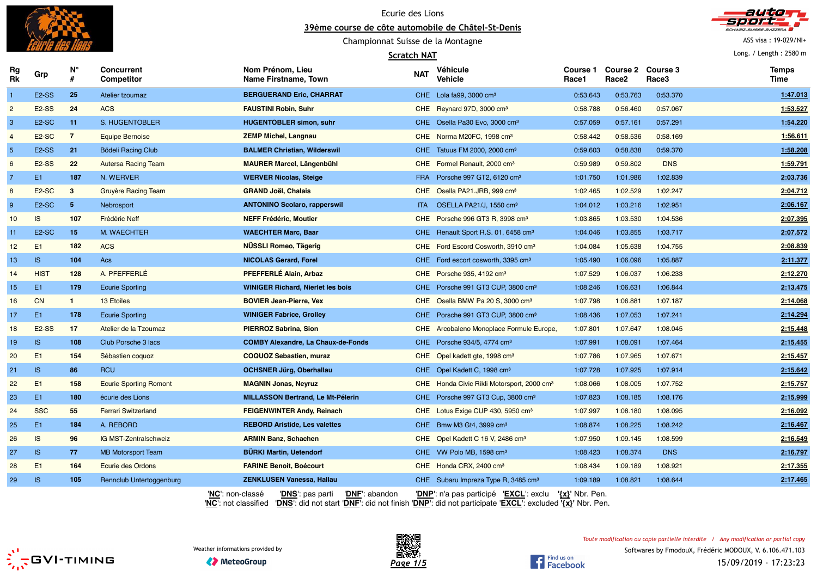



#### **Scratch NAT**



ASS visa : 19-029/NI+

Long. / Length : 2580 m

| Rg<br>Rk       | Grp                | N°<br>#        | <b>Concurrent</b><br><b>Competitor</b> | Nom Prénom, Lieu<br>Name Firstname, Town  | NAT        | Véhicule<br><b>Vehicle</b>                             | Course 1<br>Race1   | Course 2 Course 3<br>Race <sub>2</sub> | Race3      | <b>Temps</b><br>Time |
|----------------|--------------------|----------------|----------------------------------------|-------------------------------------------|------------|--------------------------------------------------------|---------------------|----------------------------------------|------------|----------------------|
| $\overline{1}$ | E <sub>2</sub> -SS | 25             | Atelier tzoumaz                        | <b>BERGUERAND Eric, CHARRAT</b>           |            | CHE Lola fa99, 3000 cm <sup>3</sup>                    | 0:53.643            | 0:53.763                               | 0:53.370   | 1:47.013             |
| $\overline{2}$ | E <sub>2</sub> -SS | 24             | <b>ACS</b>                             | <b>FAUSTINI Robin, Suhr</b>               |            | CHE Reynard 97D, 3000 cm <sup>3</sup>                  | 0:58.788            | 0:56.460                               | 0:57.067   | 1:53.527             |
| 3              | E <sub>2</sub> -SC | 11             | S. HUGENTOBLER                         | <b>HUGENTOBLER simon, suhr</b>            |            | CHE Osella Pa30 Evo, 3000 cm <sup>3</sup>              | 0:57.059            | 0:57.161                               | 0:57.291   | 1:54.220             |
| $\overline{4}$ | E <sub>2</sub> -SC | $\overline{7}$ | <b>Equipe Bernoise</b>                 | <b>ZEMP Michel, Langnau</b>               |            | CHE Norma M20FC, 1998 cm <sup>3</sup>                  | 0:58.442            | 0:58.536                               | 0:58.169   | 1:56.611             |
| $\sqrt{5}$     | <b>E2-SS</b>       | 21             | <b>Bödeli Racing Club</b>              | <b>BALMER Christian, Wilderswil</b>       |            | CHE Tatuus FM 2000, 2000 cm <sup>3</sup>               | 0:59.603            | 0:58.838                               | 0:59.370   | 1:58.208             |
| 6              | <b>E2-SS</b>       | 22             | <b>Autersa Racing Team</b>             | <b>MAURER Marcel, Längenbühl</b>          |            | CHE Formel Renault, 2000 cm <sup>3</sup>               | 0:59.989            | 0:59.802                               | <b>DNS</b> | 1:59.791             |
| $\overline{7}$ | E1                 | 187            | N. WERVER                              | <b>WERVER Nicolas, Steige</b>             | <b>FRA</b> | Porsche 997 GT2, 6120 cm <sup>3</sup>                  | 1:01.750            | 1:01.986                               | 1:02.839   | 2:03.736             |
| 8              | E <sub>2</sub> -SC | $3^{\circ}$    | <b>Gruyère Racing Team</b>             | <b>GRAND Joël, Chalais</b>                |            | CHE Osella PA21.JRB, 999 cm <sup>3</sup>               | 1:02.465            | 1:02.529                               | 1:02.247   | 2:04.712             |
| 9              | E <sub>2</sub> -SC | 5 <sub>1</sub> | Nebrosport                             | <b>ANTONINO Scolaro, rapperswil</b>       | ITA -      | OSELLA PA21/J, 1550 cm <sup>3</sup>                    | 1:04.012            | 1:03.216                               | 1:02.951   | 2:06.167             |
| 10             | IS.                | 107            | Frédéric Neff                          | <b>NEFF Frédéric, Moutier</b>             |            | CHE Porsche 996 GT3 R, 3998 cm <sup>3</sup>            | 1:03.865            | 1:03.530                               | 1:04.536   | 2:07.395             |
| 11             | E <sub>2</sub> -SC | 15             | M. WAECHTER                            | <b>WAECHTER Marc, Baar</b>                |            | CHE Renault Sport R.S. 01, 6458 cm <sup>3</sup>        | 1:04.046            | 1:03.855                               | 1:03.717   | 2:07.572             |
| 12             | E1                 | 182            | <b>ACS</b>                             | <b>NÜSSLI Romeo, Tägerig</b>              |            | CHE Ford Escord Cosworth, 3910 cm <sup>3</sup>         | 1:04.084            | 1:05.638                               | 1:04.755   | 2:08.839             |
| 13             | IS                 | 104            | Acs                                    | <b>NICOLAS Gerard, Forel</b>              |            | CHE Ford escort cosworth, 3395 cm <sup>3</sup>         | 1:05.490            | 1:06.096                               | 1:05.887   | 2:11.377             |
| 14             | <b>HIST</b>        | 128            | A. PFEFFERLÉ                           | PFEFFERLÉ Alain, Arbaz                    |            | CHE Porsche 935, 4192 cm <sup>3</sup>                  | 1:07.529            | 1:06.037                               | 1:06.233   | 2:12.270             |
| 15             | E1                 | 179            | <b>Ecurie Sporting</b>                 | <b>WINIGER Richard, Nierlet les bois</b>  |            | CHE Porsche 991 GT3 CUP, 3800 cm <sup>3</sup>          | 1:08.246            | 1:06.631                               | 1:06.844   | 2:13.475             |
| 16             | <b>CN</b>          | $\mathbf{1}$   | 13 Etoiles                             | <b>BOVIER Jean-Pierre, Vex</b>            |            | CHE Osella BMW Pa 20 S, 3000 cm <sup>3</sup>           | 1:07.798            | 1:06.881                               | 1:07.187   | 2:14.068             |
| 17             | E1                 | 178            | <b>Ecurie Sporting</b>                 | <b>WINIGER Fabrice, Grolley</b>           |            | CHE Porsche 991 GT3 CUP, 3800 cm <sup>3</sup>          | 1:08.436            | 1:07.053                               | 1:07.241   | 2:14.294             |
| 18             | E <sub>2</sub> -SS | 17             | Atelier de la Tzoumaz                  | PIERROZ Sabrina, Sion                     |            | CHE Arcobaleno Monoplace Formule Europe,               | 1:07.801            | 1:07.647                               | 1:08.045   | 2:15.448             |
| 19             | IS.                | 108            | Club Porsche 3 lacs                    | <b>COMBY Alexandre, La Chaux-de-Fonds</b> |            | CHE Porsche 934/5, 4774 cm <sup>3</sup>                | 1:07.991            | 1:08.091                               | 1:07.464   | 2:15.455             |
| 20             | E1                 | 154            | Sébastien coquoz                       | COQUOZ Sebastien, muraz                   |            | CHE Opel kadett gte, 1998 cm <sup>3</sup>              | 1:07.786            | 1:07.965                               | 1:07.671   | 2:15.457             |
| 21             | IS.                | 86             | <b>RCU</b>                             | <b>OCHSNER Jürg, Oberhallau</b>           |            | CHE Opel Kadett C, 1998 cm <sup>3</sup>                | 1:07.728            | 1:07.925                               | 1:07.914   | 2:15.642             |
| 22             | E1                 | 158            | <b>Ecurie Sporting Romont</b>          | <b>MAGNIN Jonas, Neyruz</b>               |            | CHE Honda Civic Rikli Motorsport, 2000 cm <sup>3</sup> | 1:08.066            | 1:08.005                               | 1:07.752   | 2:15.757             |
| 23             | E1                 | 180            | écurie des Lions                       | <b>MILLASSON Bertrand, Le Mt-Pélerin</b>  |            | CHE Porsche 997 GT3 Cup, 3800 cm <sup>3</sup>          | 1:07.823            | 1:08.185                               | 1:08.176   | 2:15.999             |
| 24             | <b>SSC</b>         | 55             | <b>Ferrari Switzerland</b>             | <b>FEIGENWINTER Andy, Reinach</b>         |            | CHE Lotus Exige CUP 430, 5950 cm <sup>3</sup>          | 1:07.997            | 1:08.180                               | 1:08.095   | 2:16.092             |
| 25             | E1                 | 184            | A. REBORD                              | <b>REBORD Aristide, Les valettes</b>      |            | CHE Bmw M3 Gt4, 3999 cm <sup>3</sup>                   | 1:08.874            | 1:08.225                               | 1:08.242   | 2:16.467             |
| 26             | IS.                | 96             | IG MST-Zentralschweiz                  | <b>ARMIN Banz, Schachen</b>               |            | CHE Opel Kadett C 16 V, 2486 cm <sup>3</sup>           | 1:07.950            | 1:09.145                               | 1:08.599   | 2:16.549             |
| 27             | IS                 | 77             | <b>MB Motorsport Team</b>              | <b>BÜRKI Martin, Uetendorf</b>            |            | CHE VW Polo MB, 1598 cm <sup>3</sup>                   | 1:08.423            | 1:08.374                               | <b>DNS</b> | 2:16.797             |
| 28             | E <sub>1</sub>     | 164            | Ecurie des Ordons                      | <b>FARINE Benoit, Boécourt</b>            |            | CHE Honda CRX, 2400 cm <sup>3</sup>                    | 1:08.434            | 1:09.189                               | 1:08.921   | 2:17.355             |
| 29             | IS                 | 105            | Rennclub Untertoggenburg               | <b>ZENKLUSEN Vanessa, Hallau</b>          |            | CHE Subaru Impreza Type R, 3485 cm <sup>3</sup>        | 1:09.189            | 1:08.821                               | 1:08.644   | 2:17.465             |
|                |                    |                | 'NC': non-classé                       | 'DNS': pas parti<br>'DNF': abandon        |            | 'DNP': n'a pas participé 'EXCL': exclu                 | $\{x\}$ ' Nbr. Pen. |                                        |            |                      |

'**NC**': not classified '**DNS**': did not start '**DNF**': did not finish '**DNP**': did not participate '**EXCL**': excluded **'{x}'** Nbr. Pen.





**◆ MeteoGroup**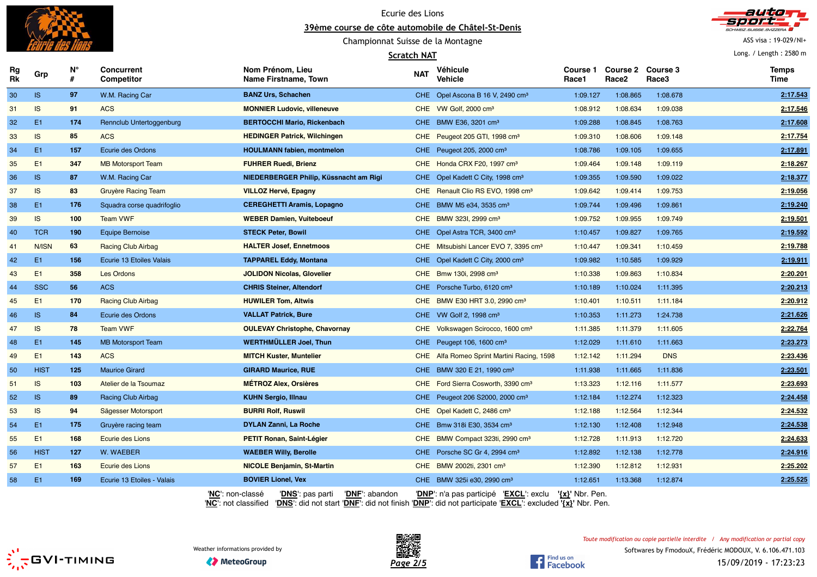



ASS visa : 19-029/NI+

Long. / Length : 2580 m

### Championnat Suisse de la Montagne

#### **Scratch NAT**

| Rg<br>Rk | Grp            | N°<br># | Concurrent<br><b>Competitor</b> | Nom Prénom, Lieu<br>Name Firstname, Town                            | <b>NAT</b> | Véhicule<br><b>Vehicle</b>                        | Course 1<br>Race1   | <b>Course 2</b><br>Race <sub>2</sub> | <b>Course 3</b><br>Race3 | <b>Temps</b><br><b>Time</b> |
|----------|----------------|---------|---------------------------------|---------------------------------------------------------------------|------------|---------------------------------------------------|---------------------|--------------------------------------|--------------------------|-----------------------------|
| 30       | IS             | 97      | W.M. Racing Car                 | <b>BANZ Urs, Schachen</b>                                           |            | CHE Opel Ascona B 16 V, 2490 cm <sup>3</sup>      | 1:09.127            | 1:08.865                             | 1:08.678                 | 2:17.543                    |
| 31       | <b>IS</b>      | 91      | <b>ACS</b>                      | <b>MONNIER Ludovic, villeneuve</b>                                  |            | CHE VW Golf, 2000 cm <sup>3</sup>                 | 1:08.912            | 1:08.634                             | 1:09.038                 | 2:17.546                    |
| 32       | E <sub>1</sub> | 174     | Rennclub Untertoggenburg        | <b>BERTOCCHI Mario, Rickenbach</b>                                  |            | CHE BMW E36, 3201 cm <sup>3</sup>                 | 1:09.288            | 1:08.845                             | 1:08.763                 | 2:17.608                    |
| 33       | IS             | 85      | <b>ACS</b>                      | <b>HEDINGER Patrick, Wilchingen</b>                                 |            | CHE Peugeot 205 GTI, 1998 cm <sup>3</sup>         | 1:09.310            | 1:08.606                             | 1:09.148                 | 2:17.754                    |
| 34       | E <sub>1</sub> | 157     | Ecurie des Ordons               | <b>HOULMANN fabien, montmelon</b>                                   |            | CHE Peugeot 205, 2000 cm <sup>3</sup>             | 1:08.786            | 1:09.105                             | 1:09.655                 | 2:17.891                    |
| 35       | E1             | 347     | <b>MB Motorsport Team</b>       | <b>FUHRER Ruedi, Brienz</b>                                         |            | CHE Honda CRX F20, 1997 cm <sup>3</sup>           | 1:09.464            | 1:09.148                             | 1:09.119                 | 2:18.267                    |
| 36       | <b>IS</b>      | 87      | W.M. Racing Car                 | NIEDERBERGER Philip, Küssnacht am Rigi                              |            | CHE Opel Kadett C City, 1998 cm <sup>3</sup>      | 1:09.355            | 1:09.590                             | 1:09.022                 | 2:18.377                    |
| 37       | IS             | 83      | <b>Gruyère Racing Team</b>      | <b>VILLOZ Hervé, Epagny</b>                                         |            | CHE Renault Clio RS EVO, 1998 cm <sup>3</sup>     | 1:09.642            | 1:09.414                             | 1:09.753                 | 2:19.056                    |
| 38       | E1             | 176     | Squadra corse quadrifoglio      | <b>CEREGHETTI Aramis, Lopagno</b>                                   |            | CHE BMW M5 e34, 3535 cm <sup>3</sup>              | 1:09.744            | 1:09.496                             | 1:09.861                 | 2:19.240                    |
| 39       | IS             | 100     | <b>Team VWF</b>                 | <b>WEBER Damien, Vuiteboeuf</b>                                     |            | CHE BMW 323I, 2999 cm <sup>3</sup>                | 1:09.752            | 1:09.955                             | 1:09.749                 | 2:19.501                    |
| 40       | <b>TCR</b>     | 190     | Equipe Bernoise                 | <b>STECK Peter, Bowil</b>                                           |            | CHE Opel Astra TCR, 3400 cm <sup>3</sup>          | 1:10.457            | 1:09.827                             | 1:09.765                 | 2:19.592                    |
| 41       | N/ISN          | 63      | <b>Racing Club Airbag</b>       | <b>HALTER Josef, Ennetmoos</b>                                      |            | CHE Mitsubishi Lancer EVO 7, 3395 cm <sup>3</sup> | 1:10.447            | 1:09.341                             | 1:10.459                 | 2:19.788                    |
| 42       | E1             | 156     | Ecurie 13 Etoiles Valais        | <b>TAPPAREL Eddy, Montana</b>                                       |            | CHE Opel Kadett C City, 2000 cm <sup>3</sup>      | 1:09.982            | 1:10.585                             | 1:09.929                 | 2:19.911                    |
| 43       | E1             | 358     | <b>Les Ordons</b>               | <b>JOLIDON Nicolas, Glovelier</b>                                   |            | CHE Bmw 130i, 2998 cm <sup>3</sup>                | 1:10.338            | 1:09.863                             | 1:10.834                 | 2:20.201                    |
| 44       | <b>SSC</b>     | 56      | <b>ACS</b>                      | <b>CHRIS Steiner, Altendorf</b>                                     |            | CHE Porsche Turbo, 6120 cm <sup>3</sup>           | 1:10.189            | 1:10.024                             | 1:11.395                 | 2:20.213                    |
| 45       | E1             | 170     | <b>Racing Club Airbag</b>       | <b>HUWILER Tom, Altwis</b>                                          |            | CHE BMW E30 HRT 3.0, 2990 cm <sup>3</sup>         | 1:10.401            | 1:10.511                             | 1:11.184                 | 2:20.912                    |
| 46       | <b>IS</b>      | 84      | Ecurie des Ordons               | <b>VALLAT Patrick, Bure</b>                                         |            | CHE VW Golf 2, 1998 cm <sup>3</sup>               | 1:10.353            | 1:11.273                             | 1:24.738                 | 2:21.626                    |
| 47       | <b>IS</b>      | 78      | <b>Team VWF</b>                 | <b>OULEVAY Christophe, Chavornay</b>                                |            | CHE Volkswagen Scirocco, 1600 cm <sup>3</sup>     | 1:11.385            | 1:11.379                             | 1:11.605                 | 2:22.764                    |
| 48       | E1             | 145     | <b>MB Motorsport Team</b>       | WERTHMÜLLER Joel, Thun                                              |            | CHE Peugept 106, 1600 cm <sup>3</sup>             | 1:12.029            | 1:11.610                             | 1:11.663                 | 2:23.273                    |
| 49       | E1             | 143     | <b>ACS</b>                      | <b>MITCH Kuster, Muntelier</b>                                      |            | CHE Alfa Romeo Sprint Martini Racing, 1598        | 1:12.142            | 1:11.294                             | <b>DNS</b>               | 2:23.436                    |
| 50       | <b>HIST</b>    | 125     | <b>Maurice Girard</b>           | <b>GIRARD Maurice, RUE</b>                                          |            | CHE BMW 320 E 21, 1990 cm <sup>3</sup>            | 1:11.938            | 1:11.665                             | 1:11.836                 | 2:23.501                    |
| 51       | IS             | 103     | Atelier de la Tsoumaz           | <b>MÉTROZ Alex, Orsières</b>                                        |            | CHE Ford Sierra Cosworth, 3390 cm <sup>3</sup>    | 1:13.323            | 1:12.116                             | 1:11.577                 | 2:23.693                    |
| 52       | <b>IS</b>      | 89      | <b>Racing Club Airbag</b>       | <b>KUHN Sergio, Illnau</b>                                          |            | CHE Peugeot 206 S2000, 2000 cm <sup>3</sup>       | 1:12.184            | 1:12.274                             | 1:12.323                 | 2:24.458                    |
| 53       | <b>IS</b>      | 94      | Sägesser Motorsport             | <b>BURRI Rolf, Ruswil</b>                                           |            | CHE Opel Kadett C, 2486 cm <sup>3</sup>           | 1:12.188            | 1:12.564                             | 1:12.344                 | 2:24.532                    |
| 54       | E <sub>1</sub> | 175     | Gruyère racing team             | DYLAN Zanni, La Roche                                               |            | CHE Bmw 318i E30, 3534 cm <sup>3</sup>            | 1:12.130            | 1:12.408                             | 1:12.948                 | 2:24.538                    |
| 55       | E1             | 168     | Ecurie des Lions                | <b>PETIT Ronan, Saint-Légier</b>                                    |            | CHE BMW Compact 323ti, 2990 cm <sup>3</sup>       | 1:12.728            | 1:11.913                             | 1:12.720                 | 2:24.633                    |
| 56       | <b>HIST</b>    | 127     | W. WAEBER                       | <b>WAEBER Willy, Berolle</b>                                        |            | CHE Porsche SC Gr 4, 2994 cm <sup>3</sup>         | 1:12.892            | 1:12.138                             | 1:12.778                 | 2:24.916                    |
| 57       | E <sub>1</sub> | 163     | <b>Ecurie des Lions</b>         | <b>NICOLE Benjamin, St-Martin</b>                                   |            | CHE BMW 2002ti, 2301 cm <sup>3</sup>              | 1:12.390            | 1:12.812                             | 1:12.931                 | 2:25.202                    |
| 58       | E1             | 169     | Ecurie 13 Etoiles - Valais      | <b>BOVIER Lionel, Vex</b>                                           |            | CHE BMW 325i e30, 2990 cm <sup>3</sup>            | 1:12.651            | 1:13.368                             | 1:12.874                 | 2:25.525                    |
|          |                |         |                                 | 'NC': non-classé<br>'DNS <sup>'</sup> : pas parti<br>'DNF': abandon |            | 'DNP': n'a pas participé 'EXCL': exclu            | $\{x\}$ ' Nbr. Pen. |                                      |                          |                             |





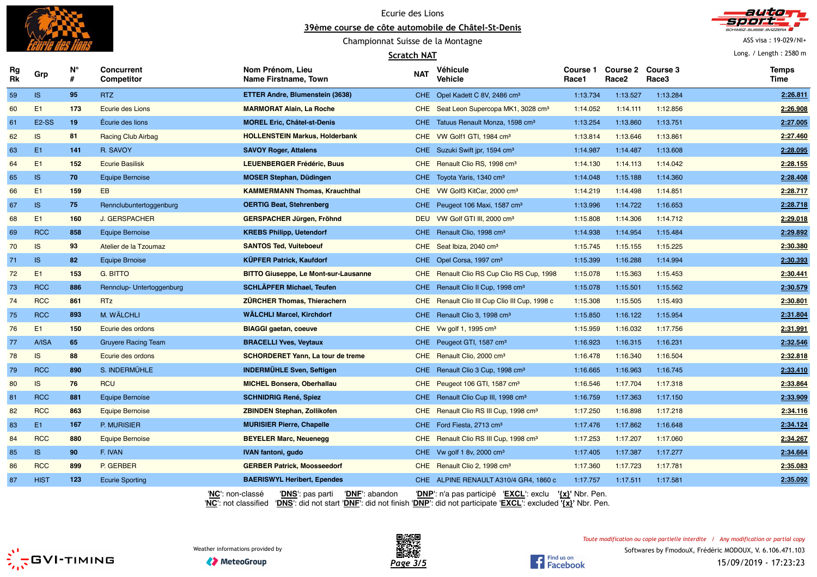



ASS visa : 19-029/NI+

Long. / Length : 2580 m

### Championnat Suisse de la Montagne

#### **Scratch NAT**

| Rg<br><b>RK</b> | Grp                | N°<br># | Concurrent<br>Competitor   | Nom Prénom, Lieu<br>Name Firstname, Town                                                                                                                                                                | <b>NAT</b> | Véhicule<br><b>Vehicle</b>                             | Course 1<br>Race1 | <b>Course 2</b><br>Race <sub>2</sub> | Course 3<br>Race3 | <b>Temps</b><br>Time |
|-----------------|--------------------|---------|----------------------------|---------------------------------------------------------------------------------------------------------------------------------------------------------------------------------------------------------|------------|--------------------------------------------------------|-------------------|--------------------------------------|-------------------|----------------------|
| 59              | IS                 | 95      | RTZ                        | ETTER Andre, Blumenstein (3638)                                                                                                                                                                         |            | CHE Opel Kadett C 8V, 2486 cm <sup>3</sup>             | 1:13.734          | 1:13.527                             | 1:13.284          | 2:26.811             |
| 60              | E1                 | 173     | <b>Ecurie des Lions</b>    | <b>MARMORAT Alain, La Roche</b>                                                                                                                                                                         |            | CHE Seat Leon Supercopa MK1, 3028 cm <sup>3</sup>      | 1:14.052          | 1:14.111                             | 1:12.856          | 2:26.908             |
| 61              | E <sub>2</sub> -SS | 19      | Écurie des lions           | <b>MOREL Eric, Châtel-st-Denis</b>                                                                                                                                                                      |            | CHE Tatuus Renault Monza, 1598 cm <sup>3</sup>         | 1:13.254          | 1:13.860                             | 1:13.751          | 2:27.005             |
| 62              | IS                 | 81      | <b>Racing Club Airbag</b>  | <b>HOLLENSTEIN Markus, Holderbank</b>                                                                                                                                                                   |            | CHE VW Golf1 GTI, 1984 cm <sup>3</sup>                 | 1:13.814          | 1:13.646                             | 1:13.861          | 2:27.460             |
| 63              | E <sub>1</sub>     | 141     | R. SAVOY                   | <b>SAVOY Roger, Attalens</b>                                                                                                                                                                            |            | CHE Suzuki Swift jpr, 1594 cm <sup>3</sup>             | 1:14.987          | 1:14.487                             | 1:13.608          | 2:28.095             |
| 64              | E1                 | 152     | <b>Ecurie Basilisk</b>     | <b>LEUENBERGER Frédéric, Buus</b>                                                                                                                                                                       |            | CHE Renault Clio RS, 1998 cm <sup>3</sup>              | 1:14.130          | 1:14.113                             | 1:14.042          | 2:28.155             |
| 65              | IS                 | 70      | <b>Equipe Bernoise</b>     | <b>MOSER Stephan, Düdingen</b>                                                                                                                                                                          |            | CHE Toyota Yaris, 1340 cm <sup>3</sup>                 | 1:14.048          | 1:15.188                             | 1:14.360          | 2:28.408             |
| 66              | E1                 | 159     | <b>EB</b>                  | <b>KAMMERMANN Thomas, Krauchthal</b>                                                                                                                                                                    |            | CHE VW Golf3 KitCar, 2000 cm <sup>3</sup>              | 1:14.219          | 1:14.498                             | 1:14.851          | 2:28.717             |
| 67              | IS                 | 75      | Rennclubuntertoggenburg    | <b>OERTIG Beat, Stehrenberg</b>                                                                                                                                                                         |            | CHE Peugeot 106 Maxi, 1587 cm <sup>3</sup>             | 1:13.996          | 1:14.722                             | 1:16.653          | 2:28.718             |
| 68              | E1                 | 160     | J. GERSPACHER              | GERSPACHER Jürgen, Fröhnd                                                                                                                                                                               |            | DEU VW Golf GTI III, 2000 cm <sup>3</sup>              | 1:15.808          | 1:14.306                             | 1:14.712          | 2:29.018             |
| 69              | <b>RCC</b>         | 858     | <b>Equipe Bernoise</b>     | <b>KREBS Philipp, Uetendorf</b>                                                                                                                                                                         |            | CHE Renault Clio, 1998 cm <sup>3</sup>                 | 1:14.938          | 1:14.954                             | 1:15.484          | 2:29.892             |
| 70              | IS                 | 93      | Atelier de la Tzoumaz      | <b>SANTOS Ted, Vuiteboeuf</b>                                                                                                                                                                           |            | CHE Seat Ibiza, 2040 cm <sup>3</sup>                   | 1:15.745          | 1:15.155                             | 1:15.225          | 2:30.380             |
| 71              | IS                 | 82      | <b>Equipe Brnoise</b>      | <b>KÜPFER Patrick, Kaufdorf</b>                                                                                                                                                                         |            | CHE Opel Corsa, 1997 cm <sup>3</sup>                   | 1:15.399          | 1:16.288                             | 1:14.994          | 2:30.393             |
| 72              | E1                 | 153     | G. BITTO                   | <b>BITTO Giuseppe, Le Mont-sur-Lausanne</b>                                                                                                                                                             |            | CHE Renault Clio RS Cup Clio RS Cup, 1998              | 1:15.078          | 1:15.363                             | 1:15.453          | 2:30.441             |
| 73              | <b>RCC</b>         | 886     | Rennclup- Untertoggenburg  | <b>SCHLÄPFER Michael, Teufen</b>                                                                                                                                                                        |            | CHE Renault Clio II Cup, 1998 cm <sup>3</sup>          | 1:15.078          | 1:15.501                             | 1:15.562          | 2:30.579             |
| 74              | <b>RCC</b>         | 861     | <b>RTz</b>                 | <b>ZÜRCHER Thomas, Thierachern</b>                                                                                                                                                                      |            | CHE Renault Clio III Cup Clio III Cup, 1998 c          | 1:15.308          | 1:15.505                             | 1:15.493          | 2:30.801             |
| 75              | <b>RCC</b>         | 893     | M. WÄLCHLI                 | WÄLCHLI Marcel, Kirchdorf                                                                                                                                                                               |            | CHE Renault Clio 3, 1998 cm <sup>3</sup>               | 1:15.850          | 1:16.122                             | 1:15.954          | 2:31.804             |
| 76              | E1                 | 150     | Ecurie des ordons          | <b>BIAGGI gaetan, coeuve</b>                                                                                                                                                                            |            | CHE Vw golf 1, 1995 cm <sup>3</sup>                    | 1:15.959          | 1:16.032                             | 1:17.756          | 2:31.991             |
| 77              | A/ISA              | 65      | <b>Gruyere Racing Team</b> | <b>BRACELLI Yves, Veytaux</b>                                                                                                                                                                           |            | CHE Peugeot GTI, 1587 cm <sup>3</sup>                  | 1:16.923          | 1:16.315                             | 1:16.231          | 2:32.546             |
| 78              | IS                 | 88      | Ecurie des ordons          | <b>SCHORDERET Yann, La tour de treme</b>                                                                                                                                                                |            | CHE Renault Clio, 2000 cm <sup>3</sup>                 | 1:16.478          | 1:16.340                             | 1:16.504          | 2:32.818             |
| 79              | <b>RCC</b>         | 890     | S. INDERMÜHLE              | <b>INDERMÜHLE Sven, Seftigen</b>                                                                                                                                                                        |            | CHE Renault Clio 3 Cup, 1998 cm <sup>3</sup>           | 1:16.665          | 1:16.963                             | 1:16.745          | 2:33.410             |
| 80              | IS                 | 76      | <b>RCU</b>                 | <b>MICHEL Bonsera, Oberhallau</b>                                                                                                                                                                       |            | CHE Peugeot 106 GTI, 1587 cm <sup>3</sup>              | 1:16.546          | 1:17.704                             | 1:17.318          | 2:33.864             |
| 81              | <b>RCC</b>         | 881     | <b>Equipe Bernoise</b>     | <b>SCHNIDRIG René, Spiez</b>                                                                                                                                                                            |            | CHE Renault Clio Cup III, 1998 cm <sup>3</sup>         | 1:16.759          | 1:17.363                             | 1:17.150          | 2:33.909             |
| 82              | <b>RCC</b>         | 863     | <b>Equipe Bernoise</b>     | <b>ZBINDEN Stephan, Zollikofen</b>                                                                                                                                                                      |            | CHE Renault Clio RS III Cup, 1998 cm <sup>3</sup>      | 1:17.250          | 1:16.898                             | 1:17.218          | 2:34.116             |
| 83              | E1                 | 167     | P. MURISIER                | <b>MURISIER Pierre, Chapelle</b>                                                                                                                                                                        |            | CHE Ford Fiesta, 2713 cm <sup>3</sup>                  | 1:17.476          | 1:17.862                             | 1:16.648          | 2:34.124             |
| 84              | <b>RCC</b>         | 880     | <b>Equipe Bernoise</b>     | <b>BEYELER Marc, Neuenegg</b>                                                                                                                                                                           |            | CHE Renault Clio RS III Cup, 1998 cm <sup>3</sup>      | 1:17.253          | 1:17.207                             | 1:17.060          | 2:34.267             |
| 85              | IS                 | 90      | F. IVAN                    | <b>IVAN fantoni, qudo</b>                                                                                                                                                                               |            | CHE Vw golf 1 8v, 2000 cm <sup>3</sup>                 | 1:17.405          | 1:17.387                             | 1:17.277          | 2:34.664             |
| 86              | <b>RCC</b>         | 899     | P. GERBER                  | <b>GERBER Patrick, Moosseedorf</b>                                                                                                                                                                      |            | CHE Renault Clio 2, 1998 cm <sup>3</sup>               | 1:17.360          | 1:17.723                             | 1:17.781          | 2:35.083             |
| 87              | <b>HIST</b>        | 123     | <b>Ecurie Sporting</b>     | <b>BAERISWYL Heribert, Ependes</b>                                                                                                                                                                      |            | CHE ALPINE RENAULT A310/4 GR4, 1860 c                  | 1:17.757          | 1:17.511                             | 1:17.581          | 2:35.092             |
|                 |                    |         |                            | 'DNF': abandon<br>' <b>NC</b> ': non-classé<br>' <b>DNS</b> ': pas parti<br>'NC': not classified 'DNS': did not start 'DNF': did not finish 'DNP': did not participate 'EXCL': excluded '{x}' Nbr. Pen. |            | 'DNP': n'a pas participé 'EXCL': exclu '{x}' Nbr. Pen. |                   |                                      |                   |                      |



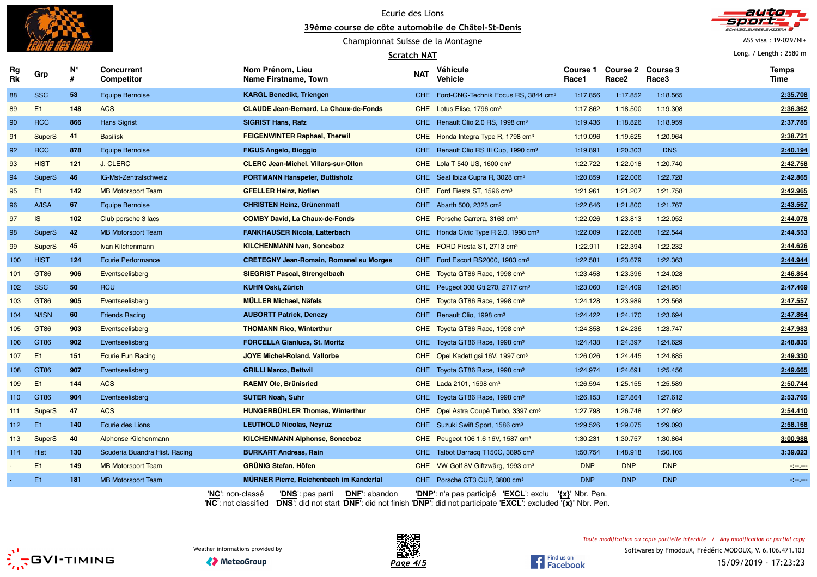

Ecurie des Lions





#### **Scratch NAT**



ASS visa : 19-029/NI+

Long. / Length : 2580 m

| Rg<br>Rk | Grp            | Ν°  | <b>Concurrent</b><br>Competitor | Nom Prénom, Lieu<br>Name Firstname, Town                            | <b>NAT</b> | Véhicule<br><b>Vehicle</b>                          | <b>Course 1</b><br>Race1 | Course 2 Course 3<br>Race <sub>2</sub> | Race3      | <b>Temps</b><br>Time |
|----------|----------------|-----|---------------------------------|---------------------------------------------------------------------|------------|-----------------------------------------------------|--------------------------|----------------------------------------|------------|----------------------|
| 88       | <b>SSC</b>     | 53  | <b>Equipe Bernoise</b>          | <b>KARGL Benedikt, Triengen</b>                                     |            | CHE Ford-CNG-Technik Focus RS, 3844 cm <sup>3</sup> | 1:17.856                 | 1:17.852                               | 1:18.565   | 2:35.708             |
| 89       | E <sub>1</sub> | 148 | <b>ACS</b>                      | <b>CLAUDE Jean-Bernard, La Chaux-de-Fonds</b>                       |            | CHE Lotus Elise, 1796 cm <sup>3</sup>               | 1:17.862                 | 1:18.500                               | 1:19.308   | 2:36.362             |
| 90       | <b>RCC</b>     | 866 | <b>Hans Sigrist</b>             | <b>SIGRIST Hans, Rafz</b>                                           |            | CHE Renault Clio 2.0 RS, 1998 cm <sup>3</sup>       | 1:19.436                 | 1:18.826                               | 1:18.959   | 2:37.785             |
| 91       | <b>SuperS</b>  | 41  | <b>Basilisk</b>                 | <b>FEIGENWINTER Raphael, Therwil</b>                                |            | CHE Honda Integra Type R, 1798 cm <sup>3</sup>      | 1:19.096                 | 1:19.625                               | 1:20.964   | 2:38.721             |
| 92       | <b>RCC</b>     | 878 | <b>Equipe Bernoise</b>          | <b>FIGUS Angelo, Bioggio</b>                                        |            | CHE Renault Clio RS III Cup, 1990 cm <sup>3</sup>   | 1:19.891                 | 1:20.303                               | <b>DNS</b> | 2:40.194             |
| 93       | <b>HIST</b>    | 121 | J. CLERC                        | <b>CLERC Jean-Michel, Villars-sur-Ollon</b>                         |            | CHE Lola T 540 US, 1600 cm <sup>3</sup>             | 1:22.722                 | 1:22.018                               | 1:20.740   | 2:42.758             |
| 94       | <b>SuperS</b>  | 46  | IG-Mst-Zentralschweiz           | <b>PORTMANN Hanspeter, Buttisholz</b>                               |            | CHE Seat Ibiza Cupra R, 3028 cm <sup>3</sup>        | 1:20.859                 | 1:22.006                               | 1:22.728   | 2:42.865             |
| 95       | E1             | 142 | <b>MB Motorsport Team</b>       | <b>GFELLER Heinz, Noflen</b>                                        |            | CHE Ford Fiesta ST, 1596 cm <sup>3</sup>            | 1:21.961                 | 1:21.207                               | 1:21.758   | 2:42.965             |
| 96       | A/ISA          | 67  | <b>Equipe Bernoise</b>          | <b>CHRISTEN Heinz, Grünenmatt</b>                                   |            | CHE Abarth 500, 2325 cm <sup>3</sup>                | 1:22.646                 | 1:21.800                               | 1:21.767   | 2:43.567             |
| 97       | IS             | 102 | Club porsche 3 lacs             | <b>COMBY David, La Chaux-de-Fonds</b>                               |            | CHE Porsche Carrera, 3163 cm <sup>3</sup>           | 1:22.026                 | 1:23.813                               | 1:22.052   | 2:44.078             |
| 98       | <b>SuperS</b>  | 42  | <b>MB Motorsport Team</b>       | <b>FANKHAUSER Nicola, Latterbach</b>                                |            | CHE Honda Civic Type R 2.0, 1998 cm <sup>3</sup>    | 1:22.009                 | 1:22.688                               | 1:22.544   | 2:44.553             |
| 99       | <b>SuperS</b>  | 45  | Ivan Kilchenmann                | <b>KILCHENMANN Ivan, Sonceboz</b>                                   |            | CHE FORD Fiesta ST, 2713 cm <sup>3</sup>            | 1:22.911                 | 1:22.394                               | 1:22.232   | 2:44.626             |
| 100      | <b>HIST</b>    | 124 | <b>Ecurie Performance</b>       | <b>CRETEGNY Jean-Romain, Romanel su Morges</b>                      |            | CHE Ford Escort RS2000, 1983 cm <sup>3</sup>        | 1:22.581                 | 1:23.679                               | 1:22.363   | 2:44.944             |
| 101      | GT86           | 906 | Eventseelisberg                 | <b>SIEGRIST Pascal, Strengelbach</b>                                |            | CHE Toyota GT86 Race, 1998 cm <sup>3</sup>          | 1:23.458                 | 1:23.396                               | 1:24.028   | 2:46.854             |
| 102      | <b>SSC</b>     | 50  | <b>RCU</b>                      | <b>KUHN Oski, Zürich</b>                                            |            | CHE Peugeot 308 Gti 270, 2717 cm <sup>3</sup>       | 1:23.060                 | 1:24.409                               | 1:24.951   | 2:47.469             |
| 103      | <b>GT86</b>    | 905 | Eventseelisberg                 | <b>MÜLLER Michael, Näfels</b>                                       |            | CHE Toyota GT86 Race, 1998 cm <sup>3</sup>          | 1:24.128                 | 1:23.989                               | 1:23.568   | 2:47.557             |
| 104      | N/ISN          | 60  | <b>Friends Racing</b>           | <b>AUBORTT Patrick, Denezy</b>                                      |            | CHE Renault Clio, 1998 cm <sup>3</sup>              | 1:24.422                 | 1:24.170                               | 1:23.694   | 2:47.864             |
| 105      | GT86           | 903 | Eventseelisberg                 | <b>THOMANN Rico, Winterthur</b>                                     |            | CHE Toyota GT86 Race, 1998 cm <sup>3</sup>          | 1:24.358                 | 1:24.236                               | 1:23.747   | 2:47.983             |
| 106      | GT86           | 902 | Eventseelisberg                 | <b>FORCELLA Gianluca, St. Moritz</b>                                |            | CHE Toyota GT86 Race, 1998 cm <sup>3</sup>          | 1:24.438                 | 1:24.397                               | 1:24.629   | 2:48.835             |
| 107      | E <sub>1</sub> | 151 | <b>Ecurie Fun Racing</b>        | <b>JOYE Michel-Roland, Vallorbe</b>                                 |            | CHE Opel Kadett gsi 16V, 1997 cm <sup>3</sup>       | 1:26.026                 | 1:24.445                               | 1:24.885   | 2:49.330             |
| 108      | GT86           | 907 | Eventseelisberg                 | <b>GRILLI Marco, Bettwil</b>                                        |            | CHE Toyota GT86 Race, 1998 cm <sup>3</sup>          | 1:24.974                 | 1:24.691                               | 1:25.456   | 2:49.665             |
| 109      | E1             | 144 | <b>ACS</b>                      | <b>RAEMY Ole, Brünisried</b>                                        |            | CHE Lada 2101, 1598 cm <sup>3</sup>                 | 1:26.594                 | 1:25.155                               | 1:25.589   | 2:50.744             |
| 110      | GT86           | 904 | Eventseelisberg                 | <b>SUTER Noah, Suhr</b>                                             |            | CHE Toyota GT86 Race, 1998 cm <sup>3</sup>          | 1:26.153                 | 1:27.864                               | 1:27.612   | 2:53.765             |
| 111      | <b>SuperS</b>  | 47  | <b>ACS</b>                      | <b>HUNGERBÜHLER Thomas, Winterthur</b>                              |            | CHE Opel Astra Coupé Turbo, 3397 cm <sup>3</sup>    | 1:27.798                 | 1:26.748                               | 1:27.662   | 2:54.410             |
| 112      | E <sub>1</sub> | 140 | Ecurie des Lions                | <b>LEUTHOLD Nicolas, Neyruz</b>                                     |            | CHE Suzuki Swift Sport, 1586 cm <sup>3</sup>        | 1:29.526                 | 1:29.075                               | 1:29.093   | 2:58.168             |
| 113      | <b>SuperS</b>  | 40  | Alphonse Kilchenmann            | <b>KILCHENMANN Alphonse, Sonceboz</b>                               |            | CHE Peugeot 106 1.6 16V, 1587 cm <sup>3</sup>       | 1:30.231                 | 1:30.757                               | 1:30.864   | 3:00.988             |
| 114      | <b>Hist</b>    | 130 | Scuderia Buandra Hist. Racing   | <b>BURKART Andreas, Rain</b>                                        |            | CHE Talbot Darracq T150C, 3895 cm <sup>3</sup>      | 1:50.754                 | 1:48.918                               | 1:50.105   | 3:39.023             |
|          | E1             | 149 | <b>MB Motorsport Team</b>       | <b>GRÜNIG Stefan, Höfen</b>                                         |            | CHE VW Golf 8V Giftzwärg, 1993 cm <sup>3</sup>      | <b>DNP</b>               | <b>DNP</b>                             | <b>DNP</b> | $-2$ and $-$         |
|          | E <sub>1</sub> | 181 | <b>MB Motorsport Team</b>       | <b>MURNER Pierre, Reichenbach im Kandertal</b>                      |            | CHE Porsche GT3 CUP, 3800 cm <sup>3</sup>           | <b>DNP</b>               | <b>DNP</b>                             | <b>DNP</b> | $\frac{1}{2}$        |
|          |                |     |                                 | 'NC': non-classé<br>'DNS <sup>'</sup> : pas parti<br>'DNF': abandon |            | 'DNP': n'a pas participé 'EXCL': exclu              | ' $\{x\}$ ' Nbr. Pen.    |                                        |            |                      |

'**NC**': not classified '**DNS**': did not start '**DNF**': did not finish '**DNP**': did not participate '**EXCL**': excluded **'{x}'** Nbr. Pen.





Find us on<br>Facebook

**◆ MeteoGroup**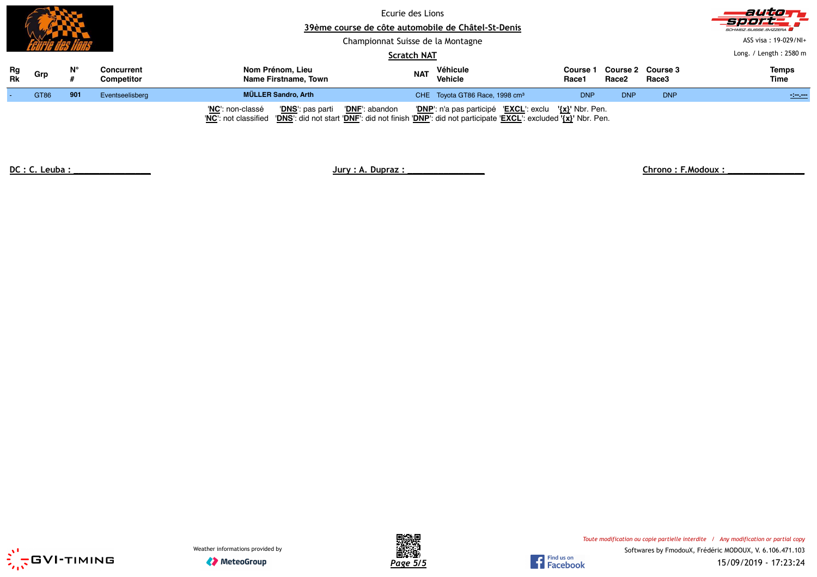|          |      |     |                                 | Ecurie des Lions<br>39ème course de côte automobile de Châtel-St-Denis<br>Championnat Suisse de la Montagne<br><b>Scratch NAT</b>                                                     |            |                                                        |                          |                            |            | autom.<br>Seers<br>SCHWEIZ.SUISSE.SVIZZERA<br>ASS visa: 19-029/NI+<br>Long. / Length: 2580 m |
|----------|------|-----|---------------------------------|---------------------------------------------------------------------------------------------------------------------------------------------------------------------------------------|------------|--------------------------------------------------------|--------------------------|----------------------------|------------|----------------------------------------------------------------------------------------------|
| Rg<br>Rk | Grp  | N°  | <b>Concurrent</b><br>Competitor | Nom Prénom, Lieu<br>Name Firstname, Town                                                                                                                                              | <b>NAT</b> | Véhicule<br>Vehicle                                    | <b>Course 1</b><br>Race1 | Course 2 Course 3<br>Race2 | Race3      | <b>Temps</b><br>Time                                                                         |
|          | GT86 | 901 | Eventseelisberg                 | MÜLLER Sandro, Arth                                                                                                                                                                   |            | CHE Toyota GT86 Race, 1998 cm <sup>3</sup>             | <b>DNP</b>               | <b>DNP</b>                 | <b>DNP</b> | <b>STATE</b>                                                                                 |
|          |      |     |                                 | 'DNF': abandon<br>'DNS': pas parti<br>'NC': non-classé<br>"NC": not classified "DNS": did not start "DNF": did not finish "DNP": did not participate "EXCL": excluded '{x}' Nbr. Pen. |            | 'DNP': n'a pas participé 'EXCL': exclu '{x}' Nbr. Pen. |                          |                            |            |                                                                                              |

**DC : C. Leuba : \_\_\_\_\_\_\_\_\_\_\_\_\_\_\_ Jury : A. Dupraz : \_\_\_\_\_\_\_\_\_\_\_\_\_\_\_ Chrono : F.Modoux : \_\_\_\_\_\_\_\_\_\_\_\_\_\_\_**







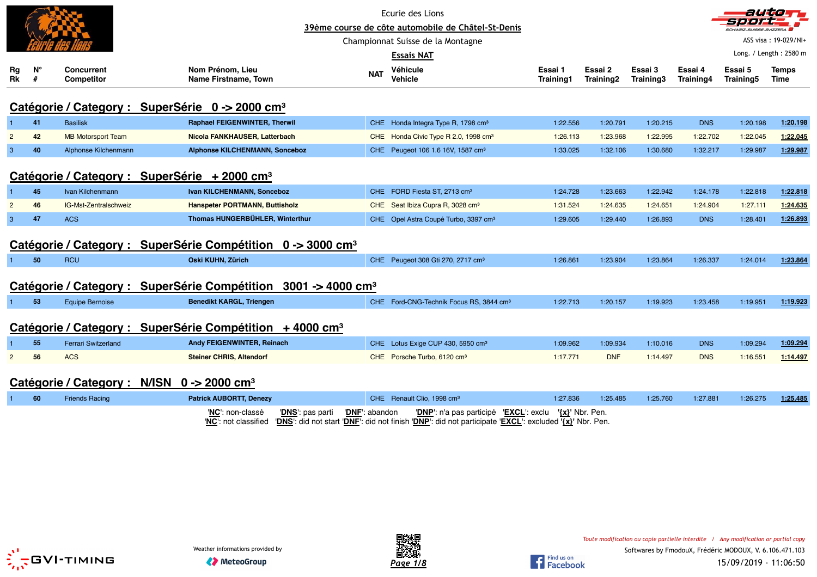|                |         |                                                             |                                                                         |            | Ecurie des Lions<br>39ème course de côte automobile de Châtel-St-Denis<br>Championnat Suisse de la Montagne<br><b>Essais NAT</b> |                      |                      |                      |                      | autio<br>7 = 1 = 1 <del>=</del><br>SCHWEIZ.SUISSE.SVIZZERA | ASS visa: 19-029/NI+<br>Long. / Length: 2580 m |
|----------------|---------|-------------------------------------------------------------|-------------------------------------------------------------------------|------------|----------------------------------------------------------------------------------------------------------------------------------|----------------------|----------------------|----------------------|----------------------|------------------------------------------------------------|------------------------------------------------|
| Rg<br>Rk       | N°<br># | <b>Concurrent</b><br><b>Competitor</b>                      | Nom Prénom, Lieu<br><b>Name Firstname, Town</b>                         | <b>NAT</b> | Véhicule<br>Vehicle                                                                                                              | Essai 1<br>Training1 | Essai 2<br>Training2 | Essai 3<br>Training3 | Essai 4<br>Training4 | Essai 5<br>Training5                                       | <b>Temps</b><br>Time                           |
|                |         | Catégorie / Category : SuperSérie 0 -> 2000 cm <sup>3</sup> |                                                                         |            |                                                                                                                                  |                      |                      |                      |                      |                                                            |                                                |
|                | 41      | <b>Basilisk</b>                                             | <b>Raphael FEIGENWINTER, Therwil</b>                                    |            | CHE Honda Integra Type R, 1798 cm <sup>3</sup>                                                                                   | 1:22.556             | 1:20.791             | 1:20.215             | <b>DNS</b>           | 1:20.198                                                   | 1:20.198                                       |
| $\overline{2}$ | 42      | <b>MB Motorsport Team</b>                                   | Nicola FANKHAUSER, Latterbach                                           |            | CHE Honda Civic Type R 2.0, 1998 cm <sup>3</sup>                                                                                 | 1:26.113             | 1:23.968             | 1:22.995             | 1:22.702             | 1:22.045                                                   | 1:22.045                                       |
| $\mathbf{3}$   | 40      | Alphonse Kilchenmann                                        | <b>Alphonse KILCHENMANN, Sonceboz</b>                                   |            | CHE Peugeot 106 1.6 16V, 1587 cm <sup>3</sup>                                                                                    | 1:33.025             | 1:32.106             | 1:30.680             | 1:32.217             | 1:29.987                                                   | 1:29.987                                       |
|                |         | Catégorie / Category :                                      | SuperSérie $+2000$ cm <sup>3</sup>                                      |            |                                                                                                                                  |                      |                      |                      |                      |                                                            |                                                |
|                | 45      | Ivan Kilchenmann                                            | Ivan KILCHENMANN, Sonceboz                                              |            | CHE FORD Fiesta ST, 2713 cm <sup>3</sup>                                                                                         | 1:24.728             | 1:23.663             | 1:22.942             | 1:24.178             | 1:22.818                                                   | 1:22.818                                       |
|                | 46      | IG-Mst-Zentralschweiz                                       | Hanspeter PORTMANN, Buttisholz                                          | <b>CHE</b> | Seat Ibiza Cupra R, 3028 cm <sup>3</sup>                                                                                         | 1:31.524             | 1:24.635             | 1:24.651             | 1:24.904             | 1:27.111                                                   | 1:24.635                                       |
| 3              | 47      | <b>ACS</b>                                                  | Thomas HUNGERBÜHLER, Winterthur                                         |            | CHE Opel Astra Coupé Turbo, 3397 cm <sup>3</sup>                                                                                 | 1:29.605             | 1:29.440             | 1:26.893             | <b>DNS</b>           | 1:28.401                                                   | 1:26.893                                       |
|                |         |                                                             | Catégorie / Category : SuperSérie Compétition 0 -> 3000 cm <sup>3</sup> |            |                                                                                                                                  |                      |                      |                      |                      |                                                            |                                                |
|                | 50      | <b>RCU</b>                                                  | Oski KUHN, Zürich                                                       |            | CHE Peugeot 308 Gti 270, 2717 cm <sup>3</sup>                                                                                    | 1:26.861             | 1:23.904             | 1:23.864             | 1:26.337             | 1:24.014                                                   | 1:23.864                                       |
|                |         | Catégorie / Category :                                      | <b>SuperSérie Compétition</b><br>$3001 - 4000$ cm <sup>3</sup>          |            |                                                                                                                                  |                      |                      |                      |                      |                                                            |                                                |
|                | 53      | <b>Equipe Bernoise</b>                                      | <b>Benedikt KARGL, Triengen</b>                                         |            | CHE Ford-CNG-Technik Focus RS, 3844 cm <sup>3</sup>                                                                              | 1:22.713             | 1:20.157             | 1:19.923             | 1:23.458             | 1:19.951                                                   | 1:19.923                                       |
|                |         | Catégorie / Category :                                      | SuperSérie Compétition $+4000$ cm <sup>3</sup>                          |            |                                                                                                                                  |                      |                      |                      |                      |                                                            |                                                |
|                | 55      | <b>Ferrari Switzerland</b>                                  | Andy FEIGENWINTER, Reinach                                              |            | CHE Lotus Exige CUP 430, 5950 cm <sup>3</sup>                                                                                    | 1:09.962             | 1:09.934             | 1:10.016             | <b>DNS</b>           | 1:09.294                                                   | 1:09.294                                       |
| $\overline{2}$ | 56      | <b>ACS</b>                                                  | <b>Steiner CHRIS, Altendorf</b>                                         |            | CHE Porsche Turbo, 6120 cm <sup>3</sup>                                                                                          | 1:17.771             | <b>DNF</b>           | 1:14.497             | <b>DNS</b>           | 1:16.551                                                   | 1:14.497                                       |
|                |         | Catégorie / Category :                                      | N/ISN $0 \rightarrow 2000$ cm <sup>3</sup>                              |            |                                                                                                                                  |                      |                      |                      |                      |                                                            |                                                |
|                | 60      | <b>Friends Racing</b>                                       | <b>Patrick AUBORTT, Denezy</b>                                          |            | CHE Renault Clio, 1998 cm <sup>3</sup>                                                                                           | 1:27.836             | 1:25.485             | 1:25.760             | 1:27.881             | 1:26.275                                                   | 1:25.485                                       |

| - 60 | <b>Friends Racing</b> | <b>Patrick AUBORTT, Denezy</b> | CHE Renault Clio, 1998 cm <sup>3</sup>                                                                     | 1:27.836 | 1:25.485 | 1:25.760 | 1:27.881 | 1:26.275 | 1:25.485 |
|------|-----------------------|--------------------------------|------------------------------------------------------------------------------------------------------------|----------|----------|----------|----------|----------|----------|
|      |                       |                                | "NC": non-classé "DNS": pas parti "DNF": abandon "DNP": n'a pas participé "EXCL": exclu $\{x\}'$ Nbr. Pen. |          |          |          |          |          |          |





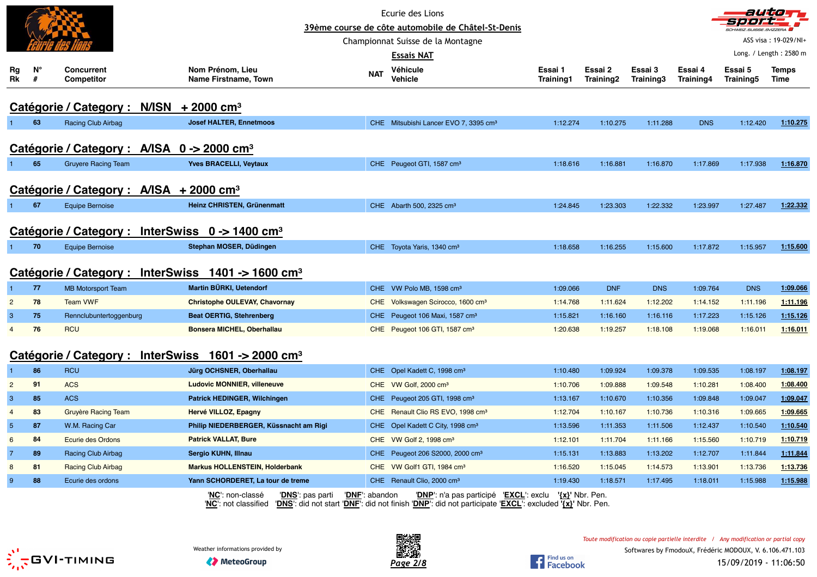|                  |         |                                                             |                                                                |                | Ecurie des Lions<br>39ème course de côte automobile de Châtel-St-Denis                                                                                                |                      |                      |                      |                      |                      | autom                       |
|------------------|---------|-------------------------------------------------------------|----------------------------------------------------------------|----------------|-----------------------------------------------------------------------------------------------------------------------------------------------------------------------|----------------------|----------------------|----------------------|----------------------|----------------------|-----------------------------|
|                  |         |                                                             |                                                                |                | Championnat Suisse de la Montagne                                                                                                                                     |                      |                      |                      |                      |                      | ASS visa: 19-029/NI+        |
|                  |         |                                                             |                                                                |                | Essais NAT                                                                                                                                                            |                      |                      |                      |                      |                      | Long. / Length: 2580 m      |
| Rg<br>$R\bar{k}$ | N°<br># | <b>Concurrent</b><br><b>Competitor</b>                      | Nom Prénom, Lieu<br>Name Firstname, Town                       | <b>NAT</b>     | Véhicule<br><b>Vehicle</b>                                                                                                                                            | Essai 1<br>Training1 | Essai 2<br>Training2 | Essai 3<br>Training3 | Essai 4<br>Training4 | Essai 5<br>Training5 | <b>Temps</b><br><b>Time</b> |
|                  |         | Catégorie / Category : N/ISN                                | $+2000$ cm <sup>3</sup>                                        |                |                                                                                                                                                                       |                      |                      |                      |                      |                      |                             |
|                  | 63      | Racing Club Airbag                                          | <b>Josef HALTER, Ennetmoos</b>                                 |                | CHE Mitsubishi Lancer EVO 7, 3395 cm <sup>3</sup>                                                                                                                     | 1:12.274             | 1:10.275             | 1:11.288             | <b>DNS</b>           | 1:12.420             | 1:10.275                    |
|                  |         | Catégorie / Category : A/ISA 0 -> 2000 cm <sup>3</sup>      |                                                                |                |                                                                                                                                                                       |                      |                      |                      |                      |                      |                             |
|                  | 65      | <b>Gruyere Racing Team</b>                                  | <b>Yves BRACELLI, Veytaux</b>                                  |                | CHE Peugeot GTI, 1587 cm <sup>3</sup>                                                                                                                                 | 1:18.616             | 1:16.881             | 1:16.870             | 1:17.869             | 1:17.938             | 1:16.870                    |
|                  |         | Catégorie / Category : A/ISA + 2000 cm <sup>3</sup>         |                                                                |                |                                                                                                                                                                       |                      |                      |                      |                      |                      |                             |
|                  | 67      | <b>Equipe Bernoise</b>                                      | <b>Heinz CHRISTEN, Grünenmatt</b>                              |                | CHE Abarth 500, 2325 cm <sup>3</sup>                                                                                                                                  | 1:24.845             | 1:23.303             | 1:22.332             | 1:23.997             | 1:27.487             | 1:22.332                    |
|                  |         | Catégorie / Category : InterSwiss 0 -> 1400 cm <sup>3</sup> |                                                                |                |                                                                                                                                                                       |                      |                      |                      |                      |                      |                             |
|                  | 70      | <b>Equipe Bernoise</b>                                      | Stephan MOSER, Düdingen                                        |                | CHE Toyota Yaris, 1340 cm <sup>3</sup>                                                                                                                                | 1:18.658             | 1:16.255             | 1:15.600             | 1:17.872             | 1:15.957             | 1:15.600                    |
|                  |         |                                                             | Catégorie / Category : InterSwiss 1401 -> 1600 cm <sup>3</sup> |                |                                                                                                                                                                       |                      |                      |                      |                      |                      |                             |
| 1                | 77      | <b>MB Motorsport Team</b>                                   | Martin BÜRKI, Uetendorf                                        |                | CHE VW Polo MB, 1598 cm <sup>3</sup>                                                                                                                                  | 1:09.066             | <b>DNF</b>           | <b>DNS</b>           | 1:09.764             | <b>DNS</b>           | 1:09.066                    |
| $\overline{2}$   | 78      | <b>Team VWF</b>                                             | <b>Christophe OULEVAY, Chavornay</b>                           |                | CHE Volkswagen Scirocco, 1600 cm <sup>3</sup>                                                                                                                         | 1:14.768             | 1:11.624             | 1:12.202             | 1:14.152             | 1:11.196             | 1:11.196                    |
| $\mathbf{3}$     | 75      | Rennclubuntertoggenburg                                     | <b>Beat OERTIG, Stehrenberg</b>                                |                | CHE Peugeot 106 Maxi, 1587 cm <sup>3</sup>                                                                                                                            | 1:15.821             | 1:16.160             | 1:16.116             | 1:17.223             | 1:15.126             | 1:15.126                    |
| $\overline{4}$   | 76      | <b>RCU</b>                                                  | Bonsera MICHEL, Oberhallau                                     |                | CHE Peugeot 106 GTI, 1587 cm <sup>3</sup>                                                                                                                             | 1:20.638             | 1:19.257             | 1:18.108             | 1:19.068             | 1:16.011             | 1:16.011                    |
|                  |         |                                                             | Catégorie / Category : InterSwiss 1601 -> 2000 cm <sup>3</sup> |                |                                                                                                                                                                       |                      |                      |                      |                      |                      |                             |
|                  | 86      | <b>RCU</b>                                                  | Jürg OCHSNER, Oberhallau                                       |                | CHE Opel Kadett C, 1998 cm <sup>3</sup>                                                                                                                               | 1:10.480             | 1:09.924             | 1:09.378             | 1:09.535             | 1:08.197             | 1:08.197                    |
| $\overline{2}$   | 91      | <b>ACS</b>                                                  | <b>Ludovic MONNIER, villeneuve</b>                             |                | CHE VW Golf, 2000 cm <sup>3</sup>                                                                                                                                     | 1:10.706             | 1:09.888             | 1:09.548             | 1:10.281             | 1:08.400             | 1:08.400                    |
| $\mathbf{3}$     | 85      | <b>ACS</b>                                                  | Patrick HEDINGER, Wilchingen                                   |                | CHE Peugeot 205 GTI, 1998 cm <sup>3</sup>                                                                                                                             | 1:13.167             | 1:10.670             | 1:10.356             | 1:09.848             | 1:09.047             | 1:09.047                    |
| $\overline{4}$   | 83      | <b>Gruyère Racing Team</b>                                  | Hervé VILLOZ, Epagny                                           |                | CHE Renault Clio RS EVO, 1998 cm <sup>3</sup>                                                                                                                         | 1:12.704             | 1:10.167             | 1:10.736             | 1:10.316             | 1:09.665             | 1:09.665                    |
| 5                | 87      | W.M. Racing Car                                             | Philip NIEDERBERGER, Küssnacht am Rigi                         |                | CHE Opel Kadett C City, 1998 cm <sup>3</sup>                                                                                                                          | 1:13.596             | 1:11.353             | 1:11.506             | 1:12.437             | 1:10.540             | 1:10.540                    |
| 6                | 84      | <b>Ecurie des Ordons</b>                                    | <b>Patrick VALLAT, Bure</b>                                    |                | CHE VW Golf 2, 1998 cm <sup>3</sup>                                                                                                                                   | 1:12.101             | 1:11.704             | 1:11.166             | 1:15.560             | 1:10.719             | 1:10.719                    |
| $\overline{7}$   | 89      | <b>Racing Club Airbag</b>                                   | Sergio KUHN, Illnau                                            |                | CHE Peugeot 206 S2000, 2000 cm <sup>3</sup>                                                                                                                           | 1:15.131             | 1:13.883             | 1:13.202             | 1:12.707             | 1:11.844             | 1:11.844                    |
| 8                | 81      | <b>Racing Club Airbag</b>                                   | <b>Markus HOLLENSTEIN, Holderbank</b>                          |                | CHE VW Golf1 GTI, 1984 cm <sup>3</sup>                                                                                                                                | 1:16.520             | 1:15.045             | 1:14.573             | 1:13.901             | 1:13.736             | 1:13.736                    |
| 9                | 88      | Ecurie des ordons                                           | Yann SCHORDERET, La tour de treme                              |                | CHE Renault Clio, 2000 cm <sup>3</sup>                                                                                                                                | 1:19.430             | 1:18.571             | 1:17.495             | 1:18.011             | 1:15.988             | 1:15.988                    |
|                  |         |                                                             | 'NC': non-classé<br>'DNS': pas parti                           | 'DNF': abandon | 'DNP': n'a pas participé 'EXCL': exclu<br>"NC": not classified "DNS": did not start "DNF": did not finish "DNP": did not participate "EXCL": excluded '{x}" Nbr. Pen. |                      | '{x}' Nbr. Pen.      |                      |                      |                      |                             |



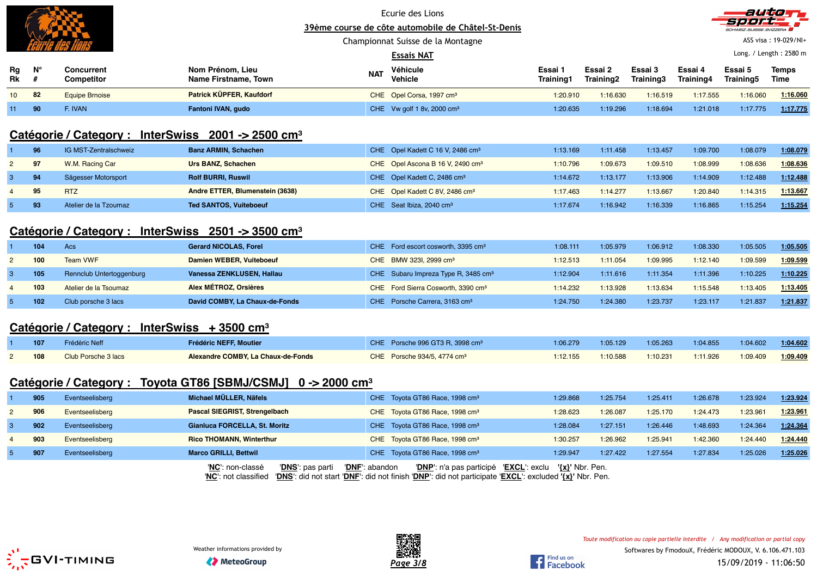Championnat Suisse de la Montagne



ASS visa : 19-029/NI+

|                 |    |                          |                                          |            | <b>Essais NAT</b>                    |                      |                      |                      |                      | Long. / Length: 2580 m |               |
|-----------------|----|--------------------------|------------------------------------------|------------|--------------------------------------|----------------------|----------------------|----------------------|----------------------|------------------------|---------------|
| Rg<br>Rk        | N' | Concurrent<br>Competitor | Nom Prénom, Lieu<br>Name Firstname, Town | <b>NAT</b> | Véhicule<br>Vehicle                  | Essai 1<br>Training1 | Essai 2<br>Training2 | Essai 3<br>Training3 | Essai 4<br>Training4 | Essai 5<br>Training5   | Temps<br>Time |
| 10 <sup>1</sup> | 82 | <b>Equipe Brnoise</b>    | <b>Patrick KÜPFER, Kaufdorf</b>          |            | CHE Opel Corsa, 1997 cm <sup>3</sup> | 1:20.910             | 1:16.630             | 1:16.519             | 1:17.555             | 1:16.060               | 1:16.060      |
| 11              | 90 | : Ivan                   | Fantoni IVAN, gudo                       |            | CHE Vw golf 1 8v, 2000 $cm3$         | 1:20.635             | 1:19.296             | 1:18.694             | 1:21.018             | 1:17.775               | 1:17.775      |

## **Catégorie / Category : InterSwiss 2001 -> 2500 cm<sup>³</sup>**

|             | 96 | IG MST-Zentralschweiz | <b>Banz ARMIN, Schachen</b>     | CHE Opel Kadett C 16 V, 2486 cm <sup>3</sup> | 1:13.169 | 1:11.458 | 1:13.457 | 1:09.700 | 1:08.079 | 1:08.079 |
|-------------|----|-----------------------|---------------------------------|----------------------------------------------|----------|----------|----------|----------|----------|----------|
| $2^{\circ}$ | 97 | W.M. Racing Car       | Urs BANZ, Schachen              | CHE Opel Ascona B 16 V, 2490 cm <sup>3</sup> | 1:10.796 | 1:09.673 | 1:09.510 | 1:08.999 | .08.636  | 1:08.636 |
| 3           | 94 | Sägesser Motorsport   | <b>Rolf BURRI, Ruswil</b>       | CHE Opel Kadett C, 2486 cm <sup>3</sup>      | 1:14.672 | 1:13.177 | 1:13.906 | 1:14.909 | 1:12.488 | 1:12.488 |
| 4           | 95 | <b>RTZ</b>            | Andre ETTER, Blumenstein (3638) | CHE Opel Kadett C 8V, 2486 cm <sup>3</sup>   | 1:17.463 | 1:14.277 | 1:13.667 | 1:20.840 | 1:14.315 | 1:13.667 |
|             | 93 | Atelier de la Tzoumaz | <b>Ted SANTOS, Vuiteboeuf</b>   | CHE Seat Ibiza, 2040 cm <sup>3</sup>         | 1:17.674 | 1:16.942 | 1:16.339 | 1:16.865 | 1:15.254 | 1:15.254 |

## **Catégorie / Category : InterSwiss 2501 -> 3500 cm<sup>³</sup>**

| 104 | Acs                      | <b>Gerard NICOLAS, Forel</b>   | CHE Ford escort cosworth, 3395 cm <sup>3</sup>  | 1:08.111 | 1:05.979 | 1:06.912 | 1:08.330 | 1:05.505 | 1:05.505 |
|-----|--------------------------|--------------------------------|-------------------------------------------------|----------|----------|----------|----------|----------|----------|
| 100 | <b>Team VWF</b>          | Damien WEBER, Vuiteboeuf       | CHE BMW 3231, 2999 cm <sup>3</sup>              | 1:12.513 | 1:11.054 | 1:09.995 | 1:12.140 | 1:09.599 | 1:09.599 |
| 105 | Rennclub Untertoggenburg | Vanessa ZENKLUSEN, Hallau      | CHE Subaru Impreza Type R, 3485 cm <sup>3</sup> | 1:12.904 | 1:11.616 | 1:11.354 | 1:11.396 | 1:10.225 | 1:10.225 |
| 103 | Atelier de la Tsoumaz    | Alex MÉTROZ, Orsières          | CHE Ford Sierra Cosworth, 3390 cm <sup>3</sup>  | 1:14.232 | 1:13.928 | 1:13.634 | 1:15.548 | 1:13.405 | 1:13.405 |
| 102 | Club porsche 3 lacs      | David COMBY, La Chaux-de-Fonds | CHE Porsche Carrera, 3163 cm <sup>3</sup>       | 1:24.750 | 1:24.380 | 1:23.737 | 1:23.117 | 1:21.837 | 1:21.837 |

### **Catégorie / Category : InterSwiss + 3500 cm<sup>³</sup>**

| 107 | Frédéric Neff       | Frédéric NEFF, Moutier             | CHE Porsche 996 GT3 R, 3998 cm <sup>3</sup> | 1:06.279 | 1:05.129 | 1:05.263 | 1:04.855 | 1:04.602 | 1:04.602 |
|-----|---------------------|------------------------------------|---------------------------------------------|----------|----------|----------|----------|----------|----------|
| 108 | Club Porsche 3 lacs | Alexandre COMBY, La Chaux-de-Fonds | CHE Porsche 934/5, 4774 cm <sup>3</sup>     | 1:12.155 | 1:10.588 | 1:10.231 | 1:11.926 | 1:09.409 | 1:09.409 |

### **Catégorie / Category : Toyota GT86 [SBMJ/CSMJ] 0 -> 2000 cm<sup>³</sup>**

|   | 905 | Eventseelisberg | Michael MÜLLER, Näfels               | CHE Toyota GT86 Race, 1998 cm <sup>3</sup>          | 1:29.868                           | 1:25.754 | 1:25.411 | 1:26.678 | 1:23.924 | 1:23.924 |
|---|-----|-----------------|--------------------------------------|-----------------------------------------------------|------------------------------------|----------|----------|----------|----------|----------|
|   | 906 | Eventseelisberg | <b>Pascal SIEGRIST, Strengelbach</b> | CHE Toyota GT86 Race, 1998 cm <sup>3</sup>          | 1:28.623                           | 1:26.087 | 1:25.170 | 1:24.473 | 1:23.961 | 1:23.961 |
|   | 902 | Eventseelisberg | <b>Gianluca FORCELLA, St. Moritz</b> | CHE Toyota GT86 Race, 1998 cm <sup>3</sup>          | 1:28.084                           | 1:27.151 | 1:26.446 | 1:48.693 | 1:24.364 | 1:24.364 |
| 4 | 903 | Eventseelisberg | <b>Rico THOMANN, Winterthur</b>      | CHE Toyota GT86 Race, 1998 cm <sup>3</sup>          | 1:30.257                           | 1:26.962 | 1:25.941 | 1:42.360 | 1:24.440 | 1:24.440 |
|   | 907 | Eventseelisberg | <b>Marco GRILLI, Bettwil</b>         | CHE Toyota GT86 Race, 1998 cm <sup>3</sup>          | 1:29.947                           | 1:27.422 | 1:27.554 | 1:27.834 | 1:25.026 | 1:25.026 |
|   |     |                 | 'DNS': pas parti<br>'NC': non-classé | 'DNF': abandon<br>' <b>DNP</b> ': n'a pas participé | <b>EXCL</b> : exclu '{x}' Nbr. Pen |          |          |          |          |          |

'**NC**': not classified '**DNS**': did not start '**DNF**': did not finish '**DNP**': did not participate '**EXCL**': excluded **'{x}'** Nbr. Pen.





Find us on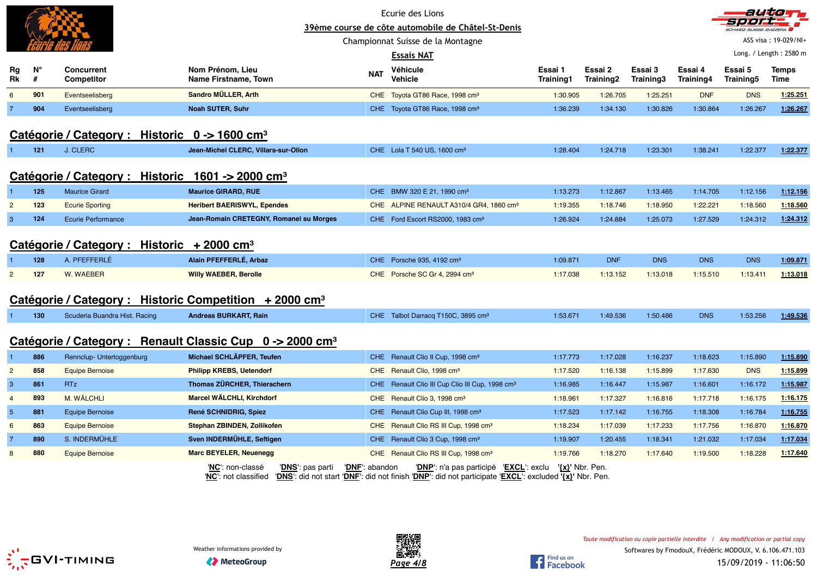|                |         |                                                                   |                                                                      |                | Ecurie des Lions<br>39ème course de côte automobile de Châtel-St-Denis                                                                                    |                             |                      |                      |                      | autio                |                        |
|----------------|---------|-------------------------------------------------------------------|----------------------------------------------------------------------|----------------|-----------------------------------------------------------------------------------------------------------------------------------------------------------|-----------------------------|----------------------|----------------------|----------------------|----------------------|------------------------|
|                |         |                                                                   |                                                                      |                | Championnat Suisse de la Montagne                                                                                                                         |                             |                      |                      |                      |                      | ASS visa: 19-029/NI+   |
|                |         |                                                                   |                                                                      |                | <b>Essais NAT</b>                                                                                                                                         |                             |                      |                      |                      |                      | Long. / Length: 2580 m |
| Rg<br>Rk       | Ν°<br># | Concurrent<br><b>Competitor</b>                                   | Nom Prénom, Lieu<br><b>Name Firstname, Town</b>                      | <b>NAT</b>     | Véhicule<br><b>Vehicle</b>                                                                                                                                | Essai 1<br><b>Training1</b> | Essai 2<br>Training2 | Essai 3<br>Training3 | Essai 4<br>Training4 | Essai 5<br>Training5 | <b>Temps</b><br>Time   |
| 6              | 901     | Eventseelisberg                                                   | Sandro MÜLLER, Arth                                                  |                | CHE Toyota GT86 Race, 1998 cm <sup>3</sup>                                                                                                                | 1:30.905                    | 1:26.705             | 1:25.251             | <b>DNF</b>           | <b>DNS</b>           | 1:25.251               |
|                | 904     | Eventseelisberg                                                   | <b>Noah SUTER, Suhr</b>                                              |                | CHE Toyota GT86 Race, 1998 cm <sup>3</sup>                                                                                                                | 1:36.239                    | 1:34.130             | 1:30.826             | 1:30.864             | 1:26.267             | 1:26.267               |
|                |         | Catégorie / Category : Historic $0 \rightarrow 1600 \text{ cm}^3$ |                                                                      |                |                                                                                                                                                           |                             |                      |                      |                      |                      |                        |
|                | 121     | J. CLERC                                                          | Jean-Michel CLERC, Villars-sur-Ollon                                 |                | CHE Lola T 540 US, 1600 cm <sup>3</sup>                                                                                                                   | 1:28.404                    | 1:24.718             | 1:23.301             | 1:38.241             | 1:22.377             | 1:22.377               |
|                |         | Catégorie / Category : Historic 1601 -> 2000 cm <sup>3</sup>      |                                                                      |                |                                                                                                                                                           |                             |                      |                      |                      |                      |                        |
|                | 125     | <b>Maurice Girard</b>                                             | <b>Maurice GIRARD, RUE</b>                                           |                | CHE BMW 320 E 21, 1990 cm <sup>3</sup>                                                                                                                    | 1:13.273                    | 1:12.867             | 1:13.465             | 1:14.705             | 1:12.156             | 1:12.156               |
| $\overline{2}$ | 123     | <b>Ecurie Sporting</b>                                            | <b>Heribert BAERISWYL, Ependes</b>                                   |                | CHE ALPINE RENAULT A310/4 GR4, 1860 cm <sup>3</sup>                                                                                                       | 1:19.355                    | 1:18.746             | 1:18.950             | 1:22.221             | 1:18.560             | 1:18.560               |
| $\mathbf{3}$   | 124     | <b>Ecurie Performance</b>                                         | Jean-Romain CRETEGNY, Romanel su Morges                              |                | CHE Ford Escort RS2000, 1983 cm <sup>3</sup>                                                                                                              | 1:26.924                    | 1:24.884             | 1:25.073             | 1:27.529             | 1:24.312             | 1:24.312               |
|                |         | Catégorie / Category : Historic + 2000 cm <sup>3</sup>            |                                                                      |                |                                                                                                                                                           |                             |                      |                      |                      |                      |                        |
|                | 128     | A. PFEFFERLÉ                                                      | Alain PFEFFERLÉ, Arbaz                                               |                | CHE Porsche 935, 4192 cm <sup>3</sup>                                                                                                                     | 1:09.871                    | <b>DNF</b>           | <b>DNS</b>           | <b>DNS</b>           | <b>DNS</b>           | 1:09.871               |
| $\overline{2}$ | 127     | W. WAEBER                                                         | <b>Willy WAEBER, Berolle</b>                                         |                | CHE Porsche SC Gr 4, 2994 cm <sup>3</sup>                                                                                                                 | 1:17.038                    | 1:13.152             | 1:13.018             | 1:15.510             | 1:13.411             | 1:13.018               |
|                |         |                                                                   | Catégorie / Category : Historic Competition + 2000 cm <sup>3</sup>   |                |                                                                                                                                                           |                             |                      |                      |                      |                      |                        |
| 1.             | 130     | Scuderia Buandra Hist. Racing                                     | <b>Andreas BURKART, Rain</b>                                         |                | CHE Talbot Darracq T150C, 3895 cm <sup>3</sup>                                                                                                            | 1:53.671                    | 1:49.536             | 1:50.486             | <b>DNS</b>           | 1:53.256             | 1:49.536               |
|                |         |                                                                   | Catégorie / Category : Renault Classic Cup 0 -> 2000 cm <sup>3</sup> |                |                                                                                                                                                           |                             |                      |                      |                      |                      |                        |
|                | 886     | Rennclup- Untertoggenburg                                         | Michael SCHLÄPFER, Teufen                                            |                | CHE Renault Clio II Cup, 1998 cm <sup>3</sup>                                                                                                             | 1:17.773                    | 1:17.028             | 1:16.237             | 1:18.623             | 1:15.890             | 1:15.890               |
| $\overline{2}$ | 858     | <b>Equipe Bernoise</b>                                            | <b>Philipp KREBS, Uetendorf</b>                                      |                | CHE Renault Clio, 1998 cm <sup>3</sup>                                                                                                                    | 1:17.520                    | 1:16.138             | 1:15.899             | 1:17.630             | <b>DNS</b>           | 1:15.899               |
| $\mathbf{3}$   | 861     | <b>RTz</b>                                                        | Thomas ZÜRCHER, Thierachern                                          |                | CHE Renault Clio III Cup Clio III Cup, 1998 cm <sup>3</sup>                                                                                               | 1:16.985                    | 1:16.447             | 1:15.987             | 1:16.601             | 1:16.172             | 1:15.987               |
| $\overline{4}$ | 893     | M. WÄLCHLI                                                        | <b>Marcel WÄLCHLI, Kirchdorf</b>                                     |                | CHE Renault Clio 3, 1998 cm <sup>3</sup>                                                                                                                  | 1:18.961                    | 1:17.327             | 1:16.816             | 1:17.718             | 1:16.175             | 1:16.175               |
| $\sqrt{5}$     | 881     | <b>Equipe Bernoise</b>                                            | René SCHNIDRIG, Spiez                                                |                | CHE Renault Clio Cup III, 1998 cm <sup>3</sup>                                                                                                            | 1:17.523                    | 1:17.142             | 1:16.755             | 1:18.308             | 1:16.784             | 1:16.755               |
| 6              | 863     | <b>Equipe Bernoise</b>                                            | Stephan ZBINDEN, Zollikofen                                          | <b>CHE</b>     | Renault Clio RS III Cup, 1998 cm <sup>3</sup>                                                                                                             | 1:18.234                    | 1:17.039             | 1:17.233             | 1:17.756             | 1:16.870             | 1:16.870               |
|                | 890     | S. INDERMÜHLE                                                     | Sven INDERMÜHLE, Seftigen                                            |                | CHE Renault Clio 3 Cup, 1998 cm <sup>3</sup>                                                                                                              | 1:19.907                    | 1:20.455             | 1:18.341             | 1:21.032             | 1:17.034             | 1:17.034               |
| 8              | 880     | <b>Equipe Bernoise</b>                                            | <b>Marc BEYELER, Neuenegg</b>                                        |                | CHE Renault Clio RS III Cup, 1998 cm <sup>3</sup>                                                                                                         | 1:19.766                    | 1:18.270             | 1:17.640             | 1:19.500             | 1:18.228             | 1:17.640               |
|                |         |                                                                   | 'NC': non-classé<br>'DNS': pas parti<br>'NC': not classified         | 'DNF': abandon | ' <b>DNP</b> ': n'a pas participé 'EXCL': exclu<br>'DNS': did not start 'DNF': did not finish 'DNP': did not participate 'EXCL': excluded '{x}' Nbr. Pen. |                             | $\{x\}$ ' Nbr. Pen.  |                      |                      |                      |                        |



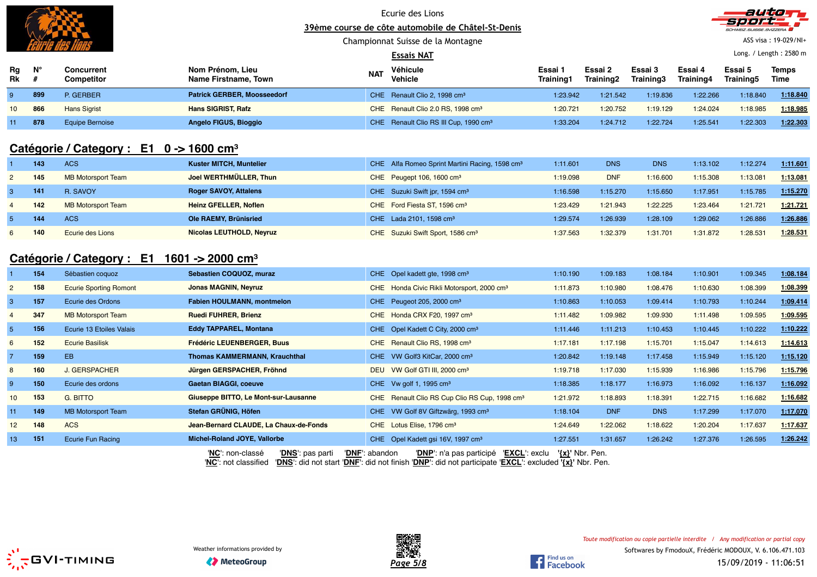

Championnat Suisse de la Montagne



ASS visa : 19-029/NI+

|          |             |                          |                                          |            | <b>Essais NAT</b>                                 |                      |                      |                      |                      |                      | Long. / Length: 2580 m |
|----------|-------------|--------------------------|------------------------------------------|------------|---------------------------------------------------|----------------------|----------------------|----------------------|----------------------|----------------------|------------------------|
| Rg<br>Rk | $N^{\circ}$ | Concurrent<br>Competitor | Nom Prénom, Lieu<br>Name Firstname, Town | <b>NAT</b> | Véhicule<br><b>Vehicle</b>                        | Essai 1<br>Training1 | Essai 2<br>Training2 | Essai 3<br>Training3 | Essai 4<br>Training4 | Essai 5<br>Training5 | Temps<br>Time          |
|          | 899         | P. GERBER                | <b>Patrick GERBER, Moosseedorf</b>       |            | CHE Renault Clio 2, 1998 cm <sup>3</sup>          | 1:23.942             | 1:21.542             | 1:19.836             | 1:22.266             | 1:18.840             | 1:18.840               |
| $10-10$  | 866         | <b>Hans Sigrist</b>      | <b>Hans SIGRIST, Rafz</b>                |            | CHE Renault Clio 2.0 RS, 1998 cm <sup>3</sup>     | 1:20.721             | 1:20.752             | 1:19.129             | 1:24.024             | 1:18.985             | 1:18.985               |
|          | 878         | Equipe Bernoise          | Angelo FIGUS, Bioggio                    |            | CHE Renault Clio RS III Cup, 1990 cm <sup>3</sup> | 1:33.204             | 1:24.712             | 1:22.724             | 1:25.541             | 1:22.303             | 1:22.303               |

# **Catégorie / Category : E1 0 -> 1600 cm<sup>³</sup>**

|   | 143 | <b>ACS</b>                | <b>Kuster MITCH, Muntelier</b> | CHE Alfa Romeo Sprint Martini Racing, 1598 cm <sup>3</sup> | 1:11.601 | <b>DNS</b> | <b>DNS</b> | 1:13.102 | 1:12.274 | 1:11.601 |
|---|-----|---------------------------|--------------------------------|------------------------------------------------------------|----------|------------|------------|----------|----------|----------|
|   | 145 | <b>MB Motorsport Team</b> | Joel WERTHMÜLLER, Thun         | CHE Peugept 106, 1600 cm <sup>3</sup>                      | 1:19.098 | <b>DNF</b> | 1:16.600   | 1:15.308 | 1:13.081 | 1:13.081 |
|   | 141 | R. SAVOY                  | <b>Roger SAVOY, Attalens</b>   | CHE Suzuki Swift jpr, 1594 cm <sup>3</sup>                 | 1:16.598 | 1:15.270   | 1:15.650   | 1:17.951 | 1:15.785 | 1:15.270 |
|   | 142 | <b>MB Motorsport Team</b> | <b>Heinz GFELLER, Noflen</b>   | CHE Ford Fiesta ST, 1596 cm <sup>3</sup>                   | 1:23.429 | 1:21.943   | 1:22.225   | 1:23.464 | 1:21.721 | 1:21.721 |
|   | 144 | <b>ACS</b>                | Ole RAEMY, Brünisried          | CHE Lada 2101, 1598 cm <sup>3</sup>                        | 1:29.574 | 1:26.939   | 1:28.109   | 1:29.062 | 1:26.886 | 1:26.886 |
| 6 | 140 | Ecurie des Lions          | Nicolas LEUTHOLD, Neyruz       | CHE Suzuki Swift Sport, 1586 cm <sup>3</sup>               | 1:37.563 | 1:32.379   | 1:31.701   | 1:31.872 | 1:28.531 | 1:28.531 |

### **Catégorie / Category : E1 1601 -> 2000 cm<sup>³</sup>**

|                 | 154 | Sébastien coquoz              | Sebastien COQUOZ, muraz                | CHE Opel kadett gte, 1998 cm <sup>3</sup>                           | 1:10.190            | 1:09.183   | 1:08.184   | 1:10.901 | 1:09.345 | 1:08.184 |
|-----------------|-----|-------------------------------|----------------------------------------|---------------------------------------------------------------------|---------------------|------------|------------|----------|----------|----------|
| $\mathbf{2}$    | 158 | <b>Ecurie Sporting Romont</b> | <b>Jonas MAGNIN, Neyruz</b>            | CHE Honda Civic Rikli Motorsport, 2000 cm <sup>3</sup>              | 1:11.873            | 1:10.980   | 1:08.476   | 1:10.630 | 1:08.399 | 1:08.399 |
| 3               | 157 | Ecurie des Ordons             | <b>Fabien HOULMANN, montmelon</b>      | CHE Peugeot 205, 2000 cm <sup>3</sup>                               | 1:10.863            | 1:10.053   | 1:09.414   | 1:10.793 | 1:10.244 | 1:09.414 |
| 4               | 347 | <b>MB Motorsport Team</b>     | <b>Ruedi FUHRER, Brienz</b>            | CHE Honda CRX F20, 1997 cm <sup>3</sup>                             | 1:11.482            | 1:09.982   | 1:09.930   | 1:11.498 | 1:09.595 | 1:09.595 |
| 5 <sup>1</sup>  | 156 | Ecurie 13 Etoiles Valais      | Eddy TAPPAREL, Montana                 | CHE Opel Kadett C City, 2000 cm <sup>3</sup>                        | 1:11.446            | 1:11.213   | 1:10.453   | 1:10.445 | 1:10.222 | 1:10.222 |
| 6               | 152 | <b>Ecurie Basilisk</b>        | <b>Frédéric LEUENBERGER, Buus</b>      | CHE Renault Clio RS, 1998 cm <sup>3</sup>                           | 1:17.181            | 1:17.198   | 1:15.701   | 1:15.047 | 1:14.613 | 1:14.613 |
|                 | 159 | EB                            | <b>Thomas KAMMERMANN, Krauchthal</b>   | CHE VW Golf3 KitCar, 2000 cm <sup>3</sup>                           | 1:20.842            | 1:19.148   | 1:17.458   | 1:15.949 | 1:15.120 | 1:15.120 |
| 8               | 160 | <b>J. GERSPACHER</b>          | Jürgen GERSPACHER, Fröhnd              | VW Golf GTI III, 2000 cm <sup>3</sup><br><b>DEU</b>                 | 1:19.718            | 1:17.030   | 1:15.939   | 1:16.986 | 1:15.796 | 1:15.796 |
| 9               | 150 | Ecurie des ordons             | Gaetan BIAGGI, coeuve                  | CHE Vw golf 1, 1995 $cm3$                                           | 1:18.385            | 1:18.177   | 1:16.973   | 1:16.092 | 1:16.137 | 1:16.092 |
| 10 <sup>°</sup> | 153 | <b>G. BITTO</b>               | Giuseppe BITTO, Le Mont-sur-Lausanne   | CHE Renault Clio RS Cup Clio RS Cup, 1998 cm <sup>3</sup>           | 1:21.972            | 1:18.893   | 1:18.391   | 1:22.715 | 1:16.682 | 1:16.682 |
| 11              | 149 | <b>MB Motorsport Team</b>     | Stefan GRÜNIG, Höfen                   | CHE VW Golf 8V Giftzwärg, 1993 cm <sup>3</sup>                      | 1:18.104            | <b>DNF</b> | <b>DNS</b> | 1:17.299 | 1:17.070 | 1:17.070 |
| 12 <sup>2</sup> | 148 | <b>ACS</b>                    | Jean-Bernard CLAUDE, La Chaux-de-Fonds | CHE Lotus Elise, 1796 cm <sup>3</sup>                               | 1:24.649            | 1:22.062   | 1:18.622   | 1:20.204 | 1:17.637 | 1:17.637 |
| 13              | 151 | Ecurie Fun Racing             | Michel-Roland JOYE, Vallorbe           | CHE Opel Kadett gsi 16V, 1997 cm <sup>3</sup>                       | 1:27.551            | 1:31.657   | 1:26.242   | 1:27.376 | 1:26.595 | 1:26.242 |
|                 |     |                               | 'DNS': pas parti<br>'NC': non-classé   | 'DNF': abandon<br>'EXCL': exclu<br><b>'DNP'</b> : n'a pas participé | $\{x\}$ ' Nbr. Pen. |            |            |          |          |          |

'**NC**': not classified '**DNS**': did not start '**DNF**': did not finish '**DNP**': did not participate '**EXCL**': excluded **'{x}'** Nbr. Pen.





Find us on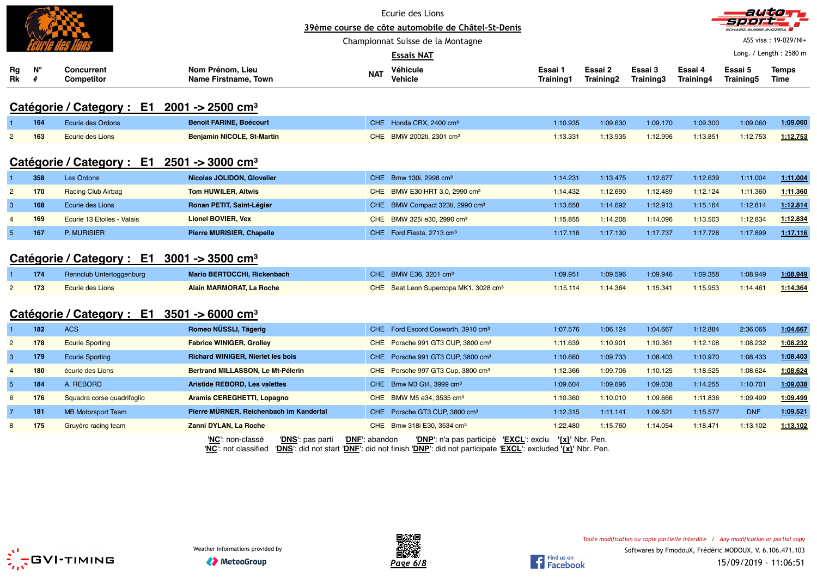|                 |             |                                                                      |                                          |                                             | Ecurie des Lions<br>39ème course de côte automobile de Châtel-St-Denis                                                                                                                  |                  |                 |           |           |            | auticen                |
|-----------------|-------------|----------------------------------------------------------------------|------------------------------------------|---------------------------------------------|-----------------------------------------------------------------------------------------------------------------------------------------------------------------------------------------|------------------|-----------------|-----------|-----------|------------|------------------------|
|                 |             |                                                                      |                                          |                                             | Championnat Suisse de la Montagne                                                                                                                                                       |                  |                 |           |           |            | ASS visa: 19-029/NI+   |
|                 |             |                                                                      |                                          |                                             | Essais NAT                                                                                                                                                                              |                  |                 |           |           |            | Long. / Length: 2580 m |
| Rg              | $N^{\circ}$ | Concurrent                                                           | Nom Prénom, Lieu                         |                                             | Véhicule                                                                                                                                                                                | Essai 1          | Essai 2         | Essai 3   | Essai 4   | Essai 5    | Temps                  |
| Rk              | #           | Competitor                                                           | <b>Name Firstname, Town</b>              | <b>NAT</b>                                  | <b>Vehicle</b>                                                                                                                                                                          | <b>Training1</b> | Training2       | Training3 | Training4 | Training5  | Time                   |
|                 |             | Catégorie / Category : E1 2001 -> 2500 cm <sup>3</sup>               |                                          |                                             |                                                                                                                                                                                         |                  |                 |           |           |            |                        |
|                 | 164         | Ecurie des Ordons                                                    | <b>Benoit FARINE, Boécourt</b>           |                                             | CHE Honda CRX, 2400 cm <sup>3</sup>                                                                                                                                                     | 1:10.935         | 1:09.630        | 1:09.170  | 1:09.300  | 1:09.060   | 1:09.060               |
| $\overline{2}$  | 163         | Ecurie des Lions                                                     | <b>Benjamin NICOLE, St-Martin</b>        |                                             | CHE BMW 2002ti, 2301 cm <sup>3</sup>                                                                                                                                                    | 1:13.331         | 1:13.935        | 1:12.996  | 1:13.851  | 1:12.753   | 1:12.753               |
|                 |             | Catégorie / Category : $E1 \quad 2501 \rightarrow 3000 \text{ cm}^3$ |                                          |                                             |                                                                                                                                                                                         |                  |                 |           |           |            |                        |
|                 | 358         | Les Ordons                                                           | Nicolas JOLIDON, Glovelier               |                                             | CHE Bmw 130i, 2998 cm <sup>3</sup>                                                                                                                                                      | 1:14.231         | 1:13.475        | 1:12.677  | 1:12.639  | 1:11.004   | 1:11.004               |
| $\overline{2}$  | 170         | <b>Racing Club Airbag</b>                                            | <b>Tom HUWILER, Altwis</b>               |                                             | CHE BMW E30 HRT 3.0, 2990 cm <sup>3</sup>                                                                                                                                               | 1:14.432         | 1:12.690        | 1:12.489  | 1:12.124  | 1:11.360   | 1:11.360               |
| 3               | 168         | Ecurie des Lions                                                     | Ronan PETIT, Saint-Légier                |                                             | CHE BMW Compact 323ti, 2990 cm <sup>3</sup>                                                                                                                                             | 1:13.658         | 1:14.692        | 1:12.913  | 1:15.164  | 1:12.814   | 1:12.814               |
| $\overline{4}$  | 169         | Ecurie 13 Etoiles - Valais                                           | <b>Lionel BOVIER, Vex</b>                |                                             | CHE BMW 325i e30, 2990 cm <sup>3</sup>                                                                                                                                                  | 1:15.855         | 1:14.208        | 1:14.096  | 1:13.503  | 1:12.834   | 1:12.834               |
| $5\phantom{.0}$ | 167         | P. MURISIER                                                          | <b>Pierre MURISIER, Chapelle</b>         |                                             | CHE Ford Fiesta, 2713 cm <sup>3</sup>                                                                                                                                                   | 1:17.116         | 1:17.130        | 1:17.737  | 1:17.728  | 1:17.899   | 1:17.116               |
|                 |             | Catégorie / Category : $E1 \quad 3001 \rightarrow 3500 \text{ cm}^3$ |                                          |                                             |                                                                                                                                                                                         |                  |                 |           |           |            |                        |
|                 | 174         | Rennclub Untertoggenburg                                             | <b>Mario BERTOCCHI, Rickenbach</b>       |                                             | CHE BMW E36, 3201 cm <sup>3</sup>                                                                                                                                                       | 1:09.951         | 1:09.596        | 1:09.946  | 1:09.358  | 1:08.949   | 1:08.949               |
| $\overline{2}$  | 173         | Ecurie des Lions                                                     | Alain MARMORAT, La Roche                 |                                             | CHE Seat Leon Supercopa MK1, 3028 cm <sup>3</sup>                                                                                                                                       | 1:15.114         | 1:14.364        | 1:15.341  | 1:15.953  | 1:14.461   | 1:14.364               |
|                 |             | Catégorie / Category : $E1$ 3501 -> 6000 cm <sup>3</sup>             |                                          |                                             |                                                                                                                                                                                         |                  |                 |           |           |            |                        |
|                 | 182         | <b>ACS</b>                                                           | Romeo NÜSSLI, Tägerig                    |                                             | CHE Ford Escord Cosworth, 3910 cm <sup>3</sup>                                                                                                                                          | 1:07.576         | 1:06.124        | 1:04.667  | 1:12.884  | 2:36.065   | 1:04.667               |
| $\overline{2}$  | 178         | <b>Ecurie Sporting</b>                                               | <b>Fabrice WINIGER, Grolley</b>          |                                             | CHE Porsche 991 GT3 CUP, 3800 cm <sup>3</sup>                                                                                                                                           | 1:11.639         | 1:10.901        | 1:10.361  | 1:12.108  | 1:08.232   | 1:08.232               |
| 3               | 179         | <b>Ecurie Sporting</b>                                               | <b>Richard WINIGER, Nierlet les bois</b> |                                             | CHE Porsche 991 GT3 CUP, 3800 cm <sup>3</sup>                                                                                                                                           | 1:10.660         | 1:09.733        | 1:08.403  | 1:10.970  | 1:08.433   | 1:08.403               |
| $\overline{4}$  | 180         | écurie des Lions                                                     | Bertrand MILLASSON, Le Mt-Pélerin        |                                             | CHE Porsche 997 GT3 Cup, 3800 cm <sup>3</sup>                                                                                                                                           | 1:12.366         | 1:09.706        | 1:10.125  | 1:18.525  | 1:08.624   | 1:08.624               |
| $5\overline{5}$ | 184         | A. REBORD                                                            | <b>Aristide REBORD, Les valettes</b>     |                                             | CHE Bmw M3 Gt4, 3999 cm <sup>3</sup>                                                                                                                                                    | 1:09.604         | 1:09.696        | 1:09.038  | 1:14.255  | 1:10.701   | 1:09.038               |
| 6               | 176         | Squadra corse quadrifoglio                                           | <b>Aramis CEREGHETTI, Lopagno</b>        | <b>CHE</b>                                  | BMW M5 e34, 3535 cm <sup>3</sup>                                                                                                                                                        | 1:10.360         | 1:10.010        | 1:09.666  | 1:11.836  | 1:09.499   | 1:09.499               |
| $\overline{7}$  | 181         | <b>MB Motorsport Team</b>                                            | Pierre MÜRNER, Reichenbach im Kandertal  |                                             | CHE Porsche GT3 CUP, 3800 cm <sup>3</sup>                                                                                                                                               | 1:12.315         | 1:11.141        | 1:09.521  | 1:15.577  | <b>DNF</b> | 1:09.521               |
| 8               | 175         | Gruyère racing team                                                  | Zanni DYLAN, La Roche                    |                                             | CHE Bmw 318i E30, 3534 cm <sup>3</sup>                                                                                                                                                  | 1:22.480         | 1:15.760        | 1:14.054  | 1:18.471  | 1:13.102   | 1:13.102               |
|                 |             |                                                                      | 'NC': non-classé                         | 'DNF': abandon<br>' <b>DNS</b> ': pas parti | " <b>DNP</b> ": n'a pas participé " <b>EXCL</b> ": exclu<br>'NC': not classified 'DNS': did not start 'DNF': did not finish 'DNP': did not participate 'EXCL': excluded '{x}' Nbr. Pen. |                  | '{x}' Nbr. Pen. |           |           |            |                        |



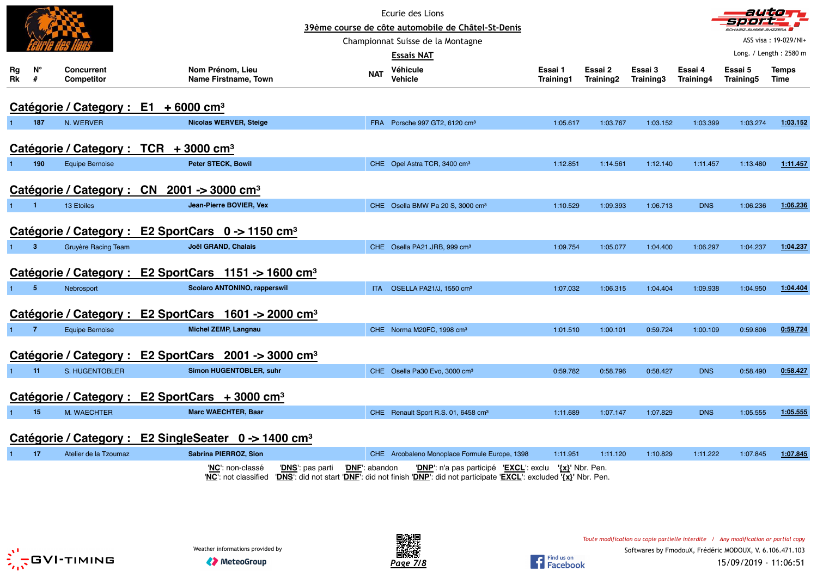|                 |                |                                 |                                                                                |                | Ecurie des Lions<br>39ème course de côte automobile de Châtel-St-Denis                                                                                           |                      |                      |                      |                      | SCHWEIZ.SUISSE.SVIZZERA | autom                  |
|-----------------|----------------|---------------------------------|--------------------------------------------------------------------------------|----------------|------------------------------------------------------------------------------------------------------------------------------------------------------------------|----------------------|----------------------|----------------------|----------------------|-------------------------|------------------------|
|                 |                |                                 |                                                                                |                | Championnat Suisse de la Montagne                                                                                                                                |                      |                      |                      |                      |                         | ASS visa: 19-029/NI-   |
|                 |                |                                 |                                                                                |                | Essais NAT                                                                                                                                                       |                      |                      |                      |                      |                         | Long. / Length: 2580 m |
| Rg<br><b>Rk</b> | N°<br>#        | <b>Concurrent</b><br>Competitor | Nom Prénom, Lieu<br>Name Firstname, Town                                       | <b>NAT</b>     | Véhicule<br>Vehicle                                                                                                                                              | Essai 1<br>Training1 | Essai 2<br>Training2 | Essai 3<br>Training3 | Essai 4<br>Training4 | Essai 5<br>Training5    | <b>Temps</b><br>Time   |
|                 |                |                                 | Catégorie / Category : E1 + 6000 cm <sup>3</sup>                               |                |                                                                                                                                                                  |                      |                      |                      |                      |                         |                        |
|                 | 187            | N. WERVER                       | <b>Nicolas WERVER, Steige</b>                                                  |                | FRA Porsche 997 GT2, 6120 cm <sup>3</sup>                                                                                                                        | 1:05.617             | 1:03.767             | 1:03.152             | 1:03.399             | 1:03.274                | 1:03.152               |
|                 |                |                                 | Catégorie / Category : $TCR + 3000 \text{ cm}^3$                               |                |                                                                                                                                                                  |                      |                      |                      |                      |                         |                        |
|                 | 190            | <b>Equipe Bernoise</b>          | Peter STECK, Bowil                                                             |                | CHE Opel Astra TCR, 3400 cm <sup>3</sup>                                                                                                                         | 1:12.851             | 1:14.561             | 1:12.140             | 1:11.457             | 1:13.480                | 1:11.457               |
|                 |                |                                 | Catégorie / Category : CN 2001 -> 3000 cm <sup>3</sup>                         |                |                                                                                                                                                                  |                      |                      |                      |                      |                         |                        |
| $\mathbf{1}$    | $\blacksquare$ | 13 Etoiles                      | Jean-Pierre BOVIER, Vex                                                        |                | CHE Osella BMW Pa 20 S, 3000 cm <sup>3</sup>                                                                                                                     | 1:10.529             | 1:09.393             | 1:06.713             | <b>DNS</b>           | 1:06.236                | 1:06.236               |
|                 |                |                                 | Catégorie / Category : E2 SportCars 0 -> 1150 cm <sup>3</sup>                  |                |                                                                                                                                                                  |                      |                      |                      |                      |                         |                        |
|                 | $\overline{3}$ | <b>Gruyère Racing Team</b>      | Joël GRAND, Chalais                                                            |                | CHE Osella PA21.JRB, 999 cm <sup>3</sup>                                                                                                                         | 1:09.754             | 1:05.077             | 1:04.400             | 1:06.297             | 1:04.237                | 1:04.237               |
|                 |                |                                 | Catégorie / Category : E2 SportCars 1151 -> 1600 cm <sup>3</sup>               |                |                                                                                                                                                                  |                      |                      |                      |                      |                         |                        |
| -1              | -5             | Nebrosport                      | <b>Scolaro ANTONINO, rapperswil</b>                                            |                | ITA OSELLA PA21/J, 1550 cm <sup>3</sup>                                                                                                                          | 1:07.032             | 1:06.315             | 1:04.404             | 1:09.938             | 1:04.950                | 1:04.404               |
|                 |                | Catégorie / Category :          | E2 SportCars $1601 \rightarrow 2000$ cm <sup>3</sup>                           |                |                                                                                                                                                                  |                      |                      |                      |                      |                         |                        |
|                 | $\overline{7}$ | <b>Equipe Bernoise</b>          | <b>Michel ZEMP, Langnau</b>                                                    |                | CHE Norma M20FC, 1998 cm <sup>3</sup>                                                                                                                            | 1:01.510             | 1:00.101             | 0:59.724             | 1:00.109             | 0:59.806                | 0:59.724               |
|                 |                |                                 | Catégorie / Category : E2 SportCars 2001 -> 3000 cm <sup>3</sup>               |                |                                                                                                                                                                  |                      |                      |                      |                      |                         |                        |
| $\mathbf{1}$    | 11             | S. HUGENTOBLER                  | Simon HUGENTOBLER, suhr                                                        |                | CHE Osella Pa30 Evo, 3000 cm <sup>3</sup>                                                                                                                        | 0:59.782             | 0:58.796             | 0:58.427             | <b>DNS</b>           | 0:58.490                | 0:58.427               |
|                 |                |                                 | Catégorie / Category : E2 SportCars + 3000 cm <sup>3</sup>                     |                |                                                                                                                                                                  |                      |                      |                      |                      |                         |                        |
|                 | 15             | M. WAECHTER                     | <b>Marc WAECHTER, Baar</b>                                                     |                | CHE Renault Sport R.S. 01, 6458 cm <sup>3</sup>                                                                                                                  | 1:11.689             | 1:07.147             | 1:07.829             | <b>DNS</b>           | 1:05.555                | 1:05.555               |
|                 |                |                                 | Catégorie / Category : E2 SingleSeater 0 -> 1400 cm <sup>3</sup>               |                |                                                                                                                                                                  |                      |                      |                      |                      |                         |                        |
| $\overline{1}$  | 17             | Atelier de la Tzoumaz           | Sabrina PIERROZ, Sion                                                          |                | CHE Arcobaleno Monoplace Formule Europe, 1398                                                                                                                    | 1:11.951             | 1:11.120             | 1:10.829             | 1:11.222             | 1:07.845                | 1:07.845               |
|                 |                |                                 | ' <b>NC</b> ': non-classé<br>' <b>DNS</b> ': pas parti<br>'NC': not classified | 'DNF': abandon | 'DNP': n'a pas participé 'EXCL': exclu '{x}' Nbr. Pen.<br>'DNS': did not start 'DNF': did not finish 'DNP': did not participate 'EXCL': excluded '{x}' Nbr. Pen. |                      |                      |                      |                      |                         |                        |





*Toute modification ou copie partielle interdite / Any modification or partial copy*